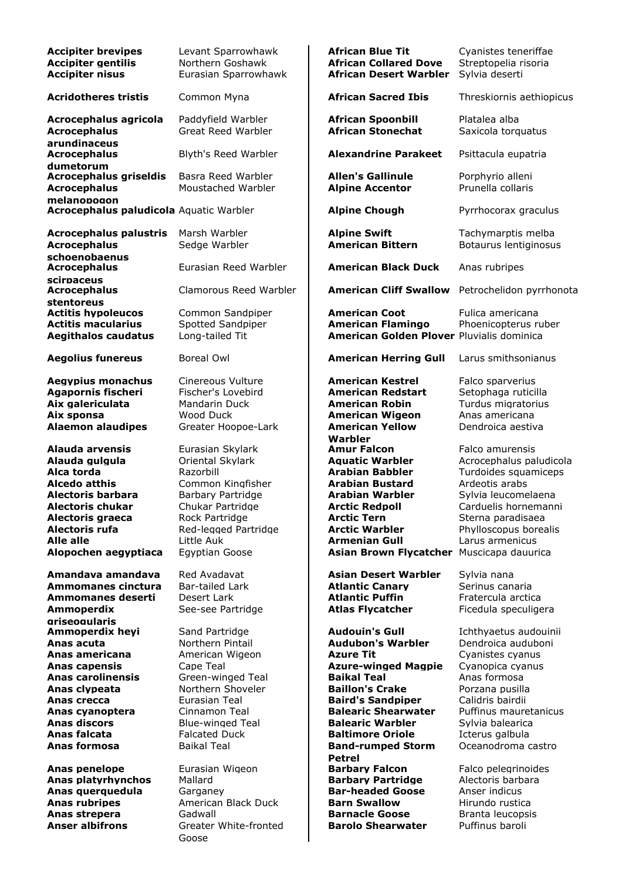| <b>Accipiter brevipes</b><br><b>Accipiter gentilis</b><br><b>Accipiter nisus</b>                                                                                                                   | Levant Sparrowhawk<br>Northern Goshawk<br>Eurasian Sparrowhawk                                                                                                                                   | <b>African Blue Tit</b><br><b>African Collared Dove</b><br><b>African Desert Warbler</b>                                                                                                                                                                                           | Cyanistes teneriffae<br>Streptopelia risoria<br>Sylvia deserti                                                                                                                                       |
|----------------------------------------------------------------------------------------------------------------------------------------------------------------------------------------------------|--------------------------------------------------------------------------------------------------------------------------------------------------------------------------------------------------|------------------------------------------------------------------------------------------------------------------------------------------------------------------------------------------------------------------------------------------------------------------------------------|------------------------------------------------------------------------------------------------------------------------------------------------------------------------------------------------------|
| <b>Acridotheres tristis</b>                                                                                                                                                                        | Common Myna                                                                                                                                                                                      | <b>African Sacred Ibis</b>                                                                                                                                                                                                                                                         | Threskiornis aethiopicus                                                                                                                                                                             |
| Acrocephalus agricola<br><b>Acrocephalus</b>                                                                                                                                                       | Paddyfield Warbler<br><b>Great Reed Warbler</b>                                                                                                                                                  | <b>African Spoonbill</b><br><b>African Stonechat</b>                                                                                                                                                                                                                               | Platalea alba<br>Saxicola torquatus                                                                                                                                                                  |
| arundinaceus<br><b>Acrocephalus</b>                                                                                                                                                                | Blyth's Reed Warbler                                                                                                                                                                             | <b>Alexandrine Parakeet</b>                                                                                                                                                                                                                                                        | Psittacula eupatria                                                                                                                                                                                  |
| dumetorum<br><b>Acrocephalus griseldis</b><br><b>Acrocephalus</b>                                                                                                                                  | Basra Reed Warbler<br>Moustached Warbler                                                                                                                                                         | <b>Allen's Gallinule</b><br><b>Alpine Accentor</b>                                                                                                                                                                                                                                 | Porphyrio alleni<br>Prunella collaris                                                                                                                                                                |
| melanopogon<br>Acrocephalus paludicola Aquatic Warbler                                                                                                                                             |                                                                                                                                                                                                  | <b>Alpine Chough</b>                                                                                                                                                                                                                                                               | Pyrrhocorax graculus                                                                                                                                                                                 |
| <b>Acrocephalus palustris</b><br><b>Acrocephalus</b><br>schoenobaenus                                                                                                                              | Marsh Warbler<br>Sedge Warbler                                                                                                                                                                   | <b>Alpine Swift</b><br><b>American Bittern</b>                                                                                                                                                                                                                                     | Tachymarptis melba<br>Botaurus lentiginosus                                                                                                                                                          |
| <b>Acrocephalus</b><br>scirpaceus                                                                                                                                                                  | Eurasian Reed Warbler                                                                                                                                                                            | <b>American Black Duck</b>                                                                                                                                                                                                                                                         | Anas rubripes                                                                                                                                                                                        |
| <b>Acrocephalus</b><br>stentoreus                                                                                                                                                                  | Clamorous Reed Warbler                                                                                                                                                                           | <b>American Cliff Swallow</b>                                                                                                                                                                                                                                                      | Petrochelidon pyrrhonot                                                                                                                                                                              |
| <b>Actitis hypoleucos</b><br><b>Actitis macularius</b><br><b>Aegithalos caudatus</b>                                                                                                               | Common Sandpiper<br>Spotted Sandpiper<br>Long-tailed Tit                                                                                                                                         | <b>American Coot</b><br><b>American Flamingo</b><br>American Golden Plover Pluvialis dominica                                                                                                                                                                                      | Fulica americana<br>Phoenicopterus ruber                                                                                                                                                             |
| <b>Aegolius funereus</b>                                                                                                                                                                           | Boreal Owl                                                                                                                                                                                       | <b>American Herring Gull</b>                                                                                                                                                                                                                                                       | Larus smithsonianus                                                                                                                                                                                  |
| <b>Aegypius monachus</b><br><b>Agapornis fischeri</b><br>Aix galericulata<br>Aix sponsa<br><b>Alaemon alaudipes</b>                                                                                | Cinereous Vulture<br>Fischer's Lovebird<br>Mandarin Duck<br>Wood Duck<br>Greater Hoopoe-Lark                                                                                                     | <b>American Kestrel</b><br><b>American Redstart</b><br><b>American Robin</b><br><b>American Wigeon</b><br><b>American Yellow</b>                                                                                                                                                   | Falco sparverius<br>Setophaga ruticilla<br>Turdus migratorius<br>Anas americana<br>Dendroica aestiva                                                                                                 |
| <b>Alauda arvensis</b><br>Alauda gulgula<br>Alca torda<br><b>Alcedo atthis</b><br>Alectoris barbara<br>Alectoris chukar<br>Alectoris graeca<br>Alectoris rufa<br>Alle alle<br>Alopochen aegyptiaca | Eurasian Skylark<br>Oriental Skylark<br>Razorbill<br>Common Kingfisher<br>Barbary Partridge<br>Chukar Partridge<br>Rock Partridge<br>Red-legged Partridge<br>Little Auk<br><b>Egyptian Goose</b> | Warbler<br><b>Amur Falcon</b><br><b>Aquatic Warbler</b><br><b>Arabian Babbler</b><br><b>Arabian Bustard</b><br><b>Arabian Warbler</b><br><b>Arctic Redpoll</b><br><b>Arctic Tern</b><br><b>Arctic Warbler</b><br><b>Armenian Gull</b><br>Asian Brown Flycatcher Muscicapa dauurica | Falco amurensis<br>Acrocephalus paludicola<br>Turdoides squamiceps<br>Ardeotis arabs<br>Sylvia leucomelaena<br>Carduelis hornemanni<br>Sterna paradisaea<br>Phylloscopus borealis<br>Larus armenicus |
| Amandava amandava<br>Ammomanes cinctura<br>Ammomanes deserti<br>Ammoperdix<br>ariseoaularis                                                                                                        | Red Avadavat<br>Bar-tailed Lark<br>Desert Lark<br>See-see Partridge                                                                                                                              | Asian Desert Warbler<br><b>Atlantic Canary</b><br><b>Atlantic Puffin</b><br><b>Atlas Flycatcher</b>                                                                                                                                                                                | Sylvia nana<br>Serinus canaria<br>Fratercula arctica<br>Ficedula speculigera                                                                                                                         |
| Ammoperdix heyi<br>Anas acuta<br>Anas americana<br><b>Anas capensis</b>                                                                                                                            | Sand Partridge<br>Northern Pintail<br>American Wigeon<br>Cape Teal                                                                                                                               | <b>Audouin's Gull</b><br><b>Audubon's Warbler</b><br><b>Azure Tit</b><br><b>Azure-winged Magpie</b>                                                                                                                                                                                | Ichthyaetus audouinii<br>Dendroica auduboni<br>Cyanistes cyanus<br>Cyanopica cyanus                                                                                                                  |
| <b>Anas carolinensis</b><br>Anas clypeata<br>Anas crecca<br>Anas cyanoptera<br><b>Anas discors</b><br>Anas falcata                                                                                 | Green-winged Teal<br>Northern Shoveler<br>Eurasian Teal<br>Cinnamon Teal<br><b>Blue-winged Teal</b><br><b>Falcated Duck</b>                                                                      | <b>Baikal Teal</b><br><b>Baillon's Crake</b><br><b>Baird's Sandpiper</b><br><b>Balearic Shearwater</b><br><b>Balearic Warbler</b><br><b>Baltimore Oriole</b>                                                                                                                       | Anas formosa<br>Porzana pusilla<br>Calidris bairdii<br>Puffinus mauretanicus<br>Sylvia balearica<br>Icterus galbula                                                                                  |
| Anas formosa<br>Anas penelope<br>Anas platyrhynchos                                                                                                                                                | <b>Baikal Teal</b><br>Eurasian Wigeon<br>Mallard                                                                                                                                                 | <b>Band-rumped Storm</b><br><b>Petrel</b><br><b>Barbary Falcon</b><br><b>Barbary Partridge</b>                                                                                                                                                                                     | Oceanodroma castro<br>Falco pelegrinoides<br>Alectoris barbara                                                                                                                                       |
| Anas querquedula<br><b>Anas rubripes</b>                                                                                                                                                           | Garganey<br>American Black Duck                                                                                                                                                                  | <b>Bar-headed Goose</b><br><b>Barn Swallow</b>                                                                                                                                                                                                                                     | Anser indicus<br>Hirundo rustica                                                                                                                                                                     |
| Anas strepera                                                                                                                                                                                      | Gadwall                                                                                                                                                                                          | <b>Barnacle Goose</b>                                                                                                                                                                                                                                                              | Branta leucopsis                                                                                                                                                                                     |
| <b>Anser albifrons</b>                                                                                                                                                                             | Greater White-fronted                                                                                                                                                                            | <b>Barolo Shearwater</b>                                                                                                                                                                                                                                                           | Puffinus baroli                                                                                                                                                                                      |

Goose

| Levant Sparrowhawk<br>Northern Goshawk<br>Eurasian Sparrowhawk                                                                                                                                            | <b>African Blue Tit</b><br><b>African Collared Dove</b><br><b>African Desert Warbler</b>                                                                                                                                                                                                                  | Cyanistes teneriffae<br>Streptopelia risoria<br>Sylvia deserti                                                                                                                                                                   |
|-----------------------------------------------------------------------------------------------------------------------------------------------------------------------------------------------------------|-----------------------------------------------------------------------------------------------------------------------------------------------------------------------------------------------------------------------------------------------------------------------------------------------------------|----------------------------------------------------------------------------------------------------------------------------------------------------------------------------------------------------------------------------------|
| Common Myna                                                                                                                                                                                               | <b>African Sacred Ibis</b>                                                                                                                                                                                                                                                                                | Threskiornis aethiopicus                                                                                                                                                                                                         |
| Paddyfield Warbler<br><b>Great Reed Warbler</b>                                                                                                                                                           | <b>African Spoonbill</b><br><b>African Stonechat</b>                                                                                                                                                                                                                                                      | Platalea alba<br>Saxicola torquatus                                                                                                                                                                                              |
| Blyth's Reed Warbler                                                                                                                                                                                      | <b>Alexandrine Parakeet</b>                                                                                                                                                                                                                                                                               | Psittacula eupatria                                                                                                                                                                                                              |
| Basra Reed Warbler<br>Moustached Warbler                                                                                                                                                                  | <b>Allen's Gallinule</b><br><b>Alpine Accentor</b>                                                                                                                                                                                                                                                        | Porphyrio alleni<br>Prunella collaris                                                                                                                                                                                            |
| Aquatic Warbler                                                                                                                                                                                           | <b>Alpine Chough</b>                                                                                                                                                                                                                                                                                      | Pyrrhocorax graculus                                                                                                                                                                                                             |
| Marsh Warbler<br>Sedge Warbler                                                                                                                                                                            | <b>Alpine Swift</b><br><b>American Bittern</b>                                                                                                                                                                                                                                                            | Tachymarptis melba<br>Botaurus lentiginosus                                                                                                                                                                                      |
| Eurasian Reed Warbler                                                                                                                                                                                     | <b>American Black Duck</b>                                                                                                                                                                                                                                                                                | Anas rubripes                                                                                                                                                                                                                    |
| Clamorous Reed Warbler                                                                                                                                                                                    | <b>American Cliff Swallow</b>                                                                                                                                                                                                                                                                             | Petrochelidon pyrrhonota                                                                                                                                                                                                         |
| Common Sandpiper<br>Spotted Sandpiper<br>Long-tailed Tit                                                                                                                                                  | <b>American Coot</b><br><b>American Flamingo</b><br>American Golden Plover Pluvialis dominica                                                                                                                                                                                                             | Fulica americana<br>Phoenicopterus ruber                                                                                                                                                                                         |
| Boreal Owl                                                                                                                                                                                                | <b>American Herring Gull</b>                                                                                                                                                                                                                                                                              | Larus smithsonianus                                                                                                                                                                                                              |
| Cinereous Vulture<br>Fischer's Lovebird<br>Mandarin Duck<br>Wood Duck<br>Greater Hoopoe-Lark                                                                                                              | <b>American Kestrel</b><br><b>American Redstart</b><br><b>American Robin</b><br><b>American Wigeon</b><br><b>American Yellow</b><br>Warbler                                                                                                                                                               | Falco sparverius<br>Setophaga ruticilla<br>Turdus migratorius<br>Anas americana<br>Dendroica aestiva                                                                                                                             |
| Eurasian Skylark<br>Oriental Skylark<br>Razorbill<br>Common Kingfisher<br>Barbary Partridge<br>Chukar Partridge<br>Rock Partridge<br>Red-legged Partridge<br>Little Auk<br>Egyptian Goose                 | <b>Amur Falcon</b><br><b>Aquatic Warbler</b><br><b>Arabian Babbler</b><br><b>Arabian Bustard</b><br>Arabian Warbler<br><b>Arctic Redpoll</b><br><b>Arctic Tern</b><br><b>Arctic Warbler</b><br><b>Armenian Gull</b><br>Asian Brown Flycatcher Muscicapa dauurica                                          | Falco amurensis<br>Acrocephalus paludicola<br>Turdoides squamiceps<br>Ardeotis arabs<br>Sylvia leucomelaena<br>Carduelis hornemanni<br>Sterna paradisaea<br>Phylloscopus borealis<br>Larus armenicus                             |
| Red Avadavat<br>Bar-tailed Lark<br>Desert Lark<br>See-see Partridge                                                                                                                                       | Asian Desert Warbler<br><b>Atlantic Canary</b><br><b>Atlantic Puffin</b><br><b>Atlas Flycatcher</b>                                                                                                                                                                                                       | Sylvia nana<br>Serinus canaria<br>Fratercula arctica<br>Ficedula speculigera                                                                                                                                                     |
| Sand Partridge<br>Northern Pintail<br>American Wigeon<br>Cape Teal<br>Green-winged Teal<br>Northern Shoveler<br>Eurasian Teal<br>Cinnamon Teal<br><b>Blue-winged Teal</b><br>Falcated Duck<br>Baikal Teal | <b>Audouin's Gull</b><br><b>Audubon's Warbler</b><br><b>Azure Tit</b><br><b>Azure-winged Magpie</b><br><b>Baikal Teal</b><br><b>Baillon's Crake</b><br><b>Baird's Sandpiper</b><br><b>Balearic Shearwater</b><br><b>Balearic Warbler</b><br><b>Baltimore Oriole</b><br><b>Band-rumped Storm</b><br>Petrel | Ichthyaetus audouinii<br>Dendroica auduboni<br>Cyanistes cyanus<br>Cyanopica cyanus<br>Anas formosa<br>Porzana pusilla<br>Calidris bairdii<br>Puffinus mauretanicus<br>Sylvia balearica<br>Icterus galbula<br>Oceanodroma castro |
| Eurasian Wigeon<br>Mallard<br>Garganey<br>American Black Duck                                                                                                                                             | <b>Barbary Falcon</b><br><b>Barbary Partridge</b><br><b>Bar-headed Goose</b><br><b>Barn Swallow</b>                                                                                                                                                                                                       | Falco pelegrinoides<br>Alectoris barbara<br>Anser indicus<br>Hirundo rustica                                                                                                                                                     |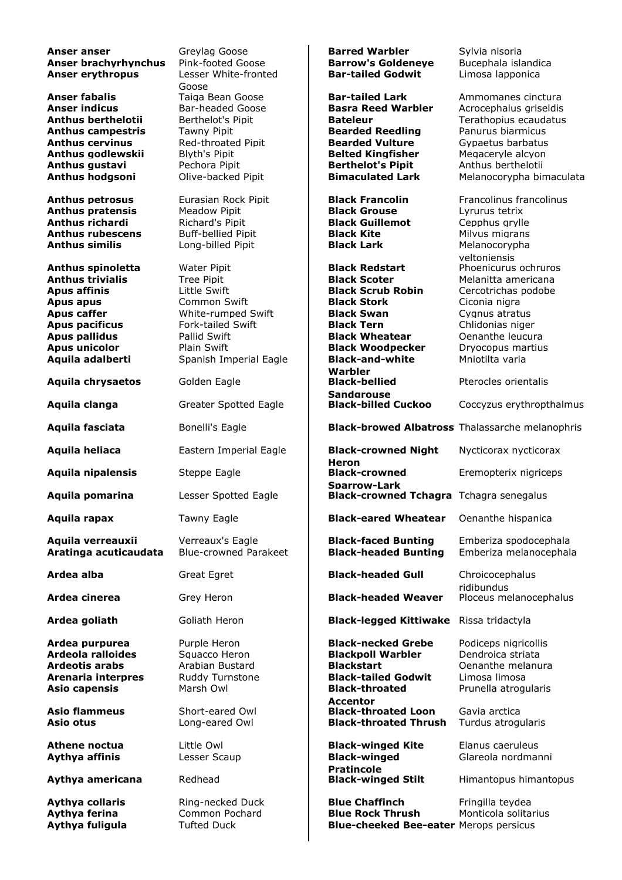**Anser anser** Greylag Goose **Barred Warbler** Bylvia nisoria **Anser anser** Sylvia nisoria **Barred Warbler** Sylvia nisoria **Anser brachyrhynchus** Pink-footed Goose **Barrow's Goldeneve** Bucephala isla **Anser brachyrhynchus** Pink-footed Goose **Barrow's Goldeneye** Bucephala islandica<br> **Bar-tailed Godwit** Limosa lapponica<br> **Bar-tailed Godwit** Limosa lapponica **Anser erythropus** Goose<br>Taiga Bean Goose Limosa lapponica **Anser fabalis Example 2** Taiga Bean Goose **Bar-tailed Lark** Ammomanes cinctura **Anser indicus** Bar-headed Goose **Basra Reed Warbler** Acrocephalus griseldis **Anthus berthelotii** Berthelot's Pipit **Bateleur Bateleur** Terathopius ecaudatus **Anthus campestris** Tawny Pipit **Bearded Reedling** Panurus biarmicus<br> **Anthus cervinus** Red-throated Pipit **Bearded Vulture** Gypaetus barbatus Red-throated Pipit **Bearded Vulture** Gypaetus barbatus<br> **Belted Kingfisher** Megaceryle alcyon **Anthus godlewskii** Blyth's Pipit **Belted Kingfisher** Megaceryle alcyon<br> **Anthus qustavi Bechora Pipit Berthelot's Pipit** Anthus berthelotii **Anthus gustavi Pechora Pipit Berthelot's Pipit** Anthus berthelotii **Anthus berthelotii Anthus hodgsoni** Olive-backed Pipit **Bimaculated Lark** Melanocorypha bir **Melanocorypha bimaculata Anthus petrosus** Eurasian Rock Pipit **Black Francolin** Francolinus francolinus **Anthus pratensis** Meadow Pipit **Black Grouse** Lyrurus tetrix **Anthus richardi** Richard's Pipit **Black Guillemot** Cepphus grylle **Anthus rubescens** Buff-bellied Pipit **Black Kite** Milvus migrans **Anthus similis Black Lack Black Lark** Melanocorypha **Anthus similis** Long-billed Pipit **Black Lark** Melanocorypha yeltoniensis **Anthus spinoletta** Water Pipit **Black Redstart** Phoenicurus ochruros **Anthus trivialis** Tree Pipit **Black Scoter** Melanitta americana<br> **Apus affinis Black Scrub Robin** Cercotrichas podobe **Black Scrub Robin** Cercotrichas podobe **Apus apus** Common Swift **Black Stork** Ciconia nigra **Apus caffer Conserver White-rumped Swift Black Swan Cygnus atratus Apus pacificus** Fork-tailed Swift **Black Tern** Chlidonias niger **Apus pallidus** Pallid Swift **Black Wheatear** Oenanthe leucura **Apus unicolor** Plain Swift **Black Woodpecker** Dryocopus martius **Aquila adalberti** Spanish Imperial Eagle **Black-and-white Warbler** Mniotilta varia Aquila chrysaetos **Golden Eagle Sandgrouse** Pterocles orientalis **Aquila clanga** Greater Spotted Eagle **Black-billed Cuckoo** Coccyzus erythropthalmus **Aquila fasciata** Bonelli's Eagle **Black-browed Albatross** Thalassarche melanophris **Aquila heliaca** Eastern Imperial Eagle **Black-crowned Night Heron** Nycticorax nycticorax **Aquila nipalensis** Steppe Eagle **Sparrow-Lark** Eremopterix nigriceps **Aquila pomarina** Lesser Spotted Eagle **Black-crowned Tchagra** Tchagra senegalus **Aquila rapax** Tawny Eagle **Black-eared Wheatear** Oenanthe hispanica **Aquila verreauxii** Verreaux's Eagle **Black-faced Bunting** Emberiza spodocephala **Aratinga acuticaudata** Blue-crowned Parakeet **Black-headed Bunting** Emberiza melanocephala **Ardea alba** Great Egret **Black-headed Gull** Chroicocephalus ridibundus **Ardea cinerea** Grey Heron **Black-headed Weaver** Ploceus melanocephalus **Ardea goliath** Goliath Heron **Black-legged Kittiwake** Rissa tridactyla **Ardea purpurea** Purple Heron **Black-necked Grebe** Podiceps nigricollis **Ardeola ralloides** Squacco Heron **Blackpoll Warbler** Dendroica striata **Ardeotis arabs** Arabian Bustard **Blackstart Cenanthe melanura Arenaria interpres** Ruddy Turnstone **Black-tailed Godwit** Limosa limosa **Asio capensis** Marsh Owl **Black-throated Accentor** Prunella atrogularis **Asio flammeus** Short-eared Owl **Black-throated Loon** Gavia arctica **Asio otus** Long-eared Owl **Black-throated Thrush** Turdus atrogularis **Athene noctua** Little Owl **Black-winged Kite** Elanus caeruleus **Aythya affinis** Lesser Scaup **Black-winged Pratincole** Glareola nordmanni **Aythya americana** Redhead **Black-winged Stilt** Himantopus himantopus **Aythya collaris Ring-necked Duck Blue Chaffinch Fringilla teydea Aythya ferina** Common Pochard **Blue Rock Thrush** Monticola solitarius **Aythya fuligula** Tufted Duck **Blue-cheeked Bee-eater** Merops persicus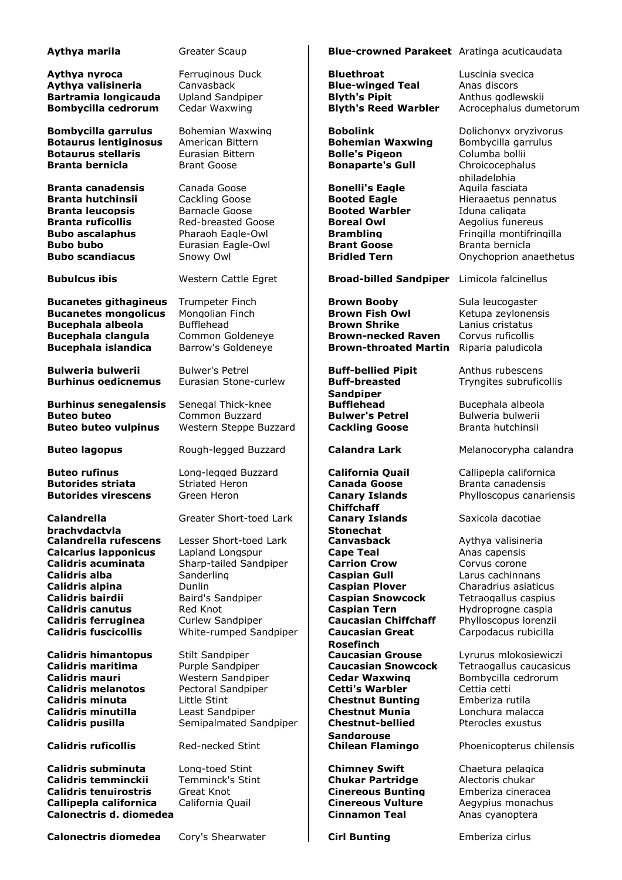| Aythya marila                                                                                                                                                                                                                                                     | Greater Scaup                                                                                                                                                                                          | <b>Blue-crowned Parakeet</b> Aratinga acuticaudata                                                                                                                                                                                                                                       |                                                                                                                                                                                                                      |
|-------------------------------------------------------------------------------------------------------------------------------------------------------------------------------------------------------------------------------------------------------------------|--------------------------------------------------------------------------------------------------------------------------------------------------------------------------------------------------------|------------------------------------------------------------------------------------------------------------------------------------------------------------------------------------------------------------------------------------------------------------------------------------------|----------------------------------------------------------------------------------------------------------------------------------------------------------------------------------------------------------------------|
| Aythya nyroca<br>Aythya valisineria<br>Bartramia longicauda<br><b>Bombycilla cedrorum</b>                                                                                                                                                                         | Ferruginous Duck<br>Canvasback<br><b>Upland Sandpiper</b><br>Cedar Waxwing                                                                                                                             | <b>Bluethroat</b><br><b>Blue-winged Teal</b><br><b>Blyth's Pipit</b><br><b>Blyth's Reed Warbler</b>                                                                                                                                                                                      | Luscinia svecica<br>Anas discors<br>Anthus godlewskii<br>Acrocephalus dumetorum                                                                                                                                      |
| <b>Bombycilla garrulus</b><br><b>Botaurus lentiginosus</b><br><b>Botaurus stellaris</b><br><b>Branta bernicla</b>                                                                                                                                                 | Bohemian Waxwing<br>American Bittern<br>Eurasian Bittern<br><b>Brant Goose</b>                                                                                                                         | <b>Bobolink</b><br><b>Bohemian Waxwing</b><br><b>Bolle's Pigeon</b><br><b>Bonaparte's Gull</b>                                                                                                                                                                                           | Dolichonyx oryzivorus<br>Bombycilla garrulus<br>Columba bollii<br>Chroicocephalus<br>philadelphia                                                                                                                    |
| <b>Branta canadensis</b><br><b>Branta hutchinsii</b><br><b>Branta leucopsis</b><br><b>Branta ruficollis</b><br><b>Bubo ascalaphus</b><br><b>Bubo bubo</b><br><b>Bubo scandiacus</b>                                                                               | Canada Goose<br>Cackling Goose<br><b>Barnacle Goose</b><br><b>Red-breasted Goose</b><br>Pharaoh Eagle-Owl<br>Eurasian Eagle-Owl<br>Snowy Owl                                                           | <b>Bonelli's Eagle</b><br><b>Booted Eagle</b><br><b>Booted Warbler</b><br><b>Boreal Owl</b><br><b>Brambling</b><br><b>Brant Goose</b><br><b>Bridled Tern</b>                                                                                                                             | Aquila fasciata<br>Hieraaetus pennatus<br>Iduna caligata<br>Aegolius funereus<br>Fringilla montifringilla<br>Branta bernicla<br>Onychoprion anaethetus                                                               |
| <b>Bubulcus ibis</b>                                                                                                                                                                                                                                              | Western Cattle Egret                                                                                                                                                                                   | <b>Broad-billed Sandpiper</b>                                                                                                                                                                                                                                                            | Limicola falcinellus                                                                                                                                                                                                 |
| <b>Bucanetes githagineus</b><br><b>Bucanetes mongolicus</b><br><b>Bucephala albeola</b><br><b>Bucephala clangula</b><br><b>Bucephala islandica</b>                                                                                                                | <b>Trumpeter Finch</b><br>Mongolian Finch<br><b>Bufflehead</b><br>Common Goldeneye<br>Barrow's Goldeneye                                                                                               | <b>Brown Booby</b><br><b>Brown Fish Owl</b><br><b>Brown Shrike</b><br><b>Brown-necked Raven</b><br><b>Brown-throated Martin</b>                                                                                                                                                          | Sula leucogaster<br>Ketupa zeylonensis<br>Lanius cristatus<br>Corvus ruficollis<br>Riparia paludicola                                                                                                                |
| <b>Bulweria bulwerii</b><br><b>Burhinus oedicnemus</b>                                                                                                                                                                                                            | <b>Bulwer's Petrel</b><br>Eurasian Stone-curlew                                                                                                                                                        | <b>Buff-bellied Pipit</b><br><b>Buff-breasted</b><br><b>Sandpiper</b>                                                                                                                                                                                                                    | Anthus rubescens<br>Tryngites subruficollis                                                                                                                                                                          |
| <b>Burhinus senegalensis</b><br><b>Buteo buteo</b><br><b>Buteo buteo vulpinus</b>                                                                                                                                                                                 | Senegal Thick-knee<br>Common Buzzard<br>Western Steppe Buzzard                                                                                                                                         | <b>Bufflehead</b><br><b>Bulwer's Petrel</b><br><b>Cackling Goose</b>                                                                                                                                                                                                                     | Bucephala albeola<br>Bulweria bulwerii<br>Branta hutchinsii                                                                                                                                                          |
| <b>Buteo lagopus</b>                                                                                                                                                                                                                                              | Rough-legged Buzzard                                                                                                                                                                                   | <b>Calandra Lark</b>                                                                                                                                                                                                                                                                     | Melanocorypha calandra                                                                                                                                                                                               |
| <b>Buteo rufinus</b><br><b>Butorides striata</b><br><b>Butorides virescens</b>                                                                                                                                                                                    | Long-legged Buzzard<br><b>Striated Heron</b><br>Green Heron                                                                                                                                            | <b>California Quail</b><br><b>Canada Goose</b><br><b>Canary Islands</b><br><b>Chiffchaff</b>                                                                                                                                                                                             | Callipepla californica<br>Branta canadensis<br>Phylloscopus canariensis                                                                                                                                              |
| Calandrella<br>brachydactyla<br><b>Calandrella rufescens</b><br><b>Calcarius lapponicus</b><br>Calidris acuminata<br>Calidris alba<br>Calidris alpina<br>Calidris bairdii<br><b>Calidris canutus</b><br><b>Calidris ferruginea</b><br><b>Calidris fuscicollis</b> | Greater Short-toed Lark<br>Lesser Short-toed Lark<br>Lapland Longspur<br>Sharp-tailed Sandpiper<br>Sanderling<br>Dunlin<br>Baird's Sandpiper<br>Red Knot<br>Curlew Sandpiper<br>White-rumped Sandpiper | <b>Canary Islands</b><br><b>Stonechat</b><br><b>Canvasback</b><br><b>Cape Teal</b><br><b>Carrion Crow</b><br><b>Caspian Gull</b><br><b>Caspian Plover</b><br><b>Caspian Snowcock</b><br><b>Caspian Tern</b><br><b>Caucasian Chiffchaff</b><br><b>Caucasian Great</b><br><b>Rosefinch</b> | Saxicola dacotiae<br>Aythya valisineria<br>Anas capensis<br>Corvus corone<br>Larus cachinnans<br>Charadrius asiaticus<br>Tetraogallus caspius<br>Hydroprogne caspia<br>Phylloscopus lorenzii<br>Carpodacus rubicilla |
| <b>Calidris himantopus</b><br>Calidris maritima<br>Calidris mauri<br><b>Calidris melanotos</b><br>Calidris minuta<br>Calidris minutilla<br>Calidris pusilla<br><b>Calidris ruficollis</b>                                                                         | Stilt Sandpiper<br>Purple Sandpiper<br>Western Sandpiper<br>Pectoral Sandpiper<br>Little Stint<br>Least Sandpiper<br>Semipalmated Sandpiper<br>Red-necked Stint                                        | <b>Caucasian Grouse</b><br><b>Caucasian Snowcock</b><br><b>Cedar Waxwing</b><br><b>Cetti's Warbler</b><br><b>Chestnut Bunting</b><br><b>Chestnut Munia</b><br><b>Chestnut-bellied</b><br><b>Sandgrouse</b><br><b>Chilean Flamingo</b>                                                    | Lyrurus mlokosiewiczi<br>Tetraogallus caucasicus<br>Bombycilla cedrorum<br>Cettia cetti<br>Emberiza rutila<br>Lonchura malacca<br>Pterocles exustus<br>Phoenicopterus chilensis                                      |

**Calidris subminuta** Long-toed Stint **Chimney Swift** Chaetura pelagica **Calidris temminckii** Temminck's Stint **Chukar Partridge** Alectoris chukar **Calidris tenuirostris** Great Knot **Cinereous Bunting** Emberiza cineracea **Callipepla californica** California Quail **Cinereous Vulture** Aegypius monachus **Calonectris d. diomedea Cinnamon Teal** Anas cyanoptera

**Calonectris diomedea** Cory's Shearwater **Cirl Bunting** Emberiza cirlus

**Aythya marila** Greater Scaup **Blue-crowned Parakeet** Aratinga acuticaudata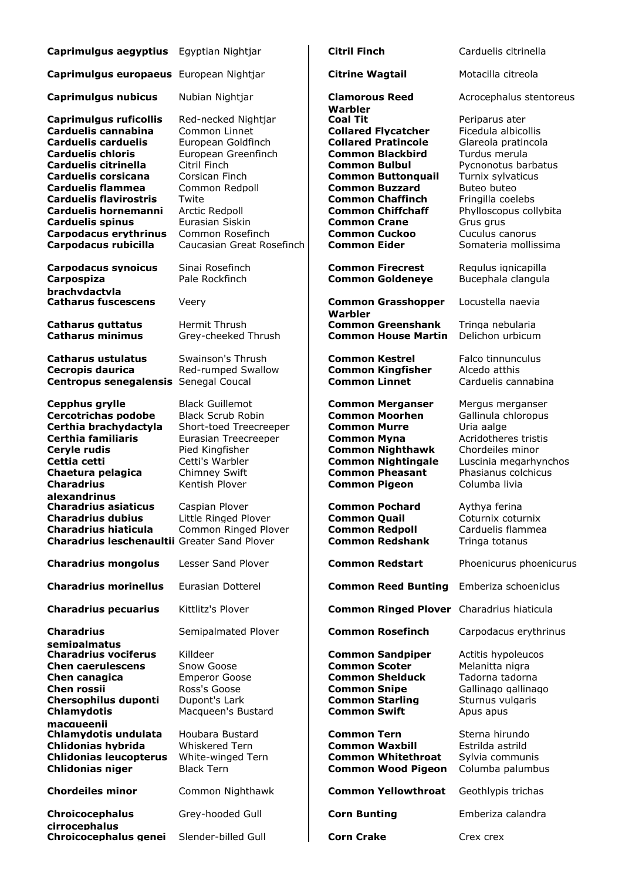| Caprimulgus aegyptius Egyptian Nightjar                                                                                                                                                                                                                                                                                               |                                                                                                                                                                                                                                      | <b>Citril Finch</b>                                                                                                                                                                                                                                                                                        | Carduelis citrinella                                                                                                                                                                                                                            |
|---------------------------------------------------------------------------------------------------------------------------------------------------------------------------------------------------------------------------------------------------------------------------------------------------------------------------------------|--------------------------------------------------------------------------------------------------------------------------------------------------------------------------------------------------------------------------------------|------------------------------------------------------------------------------------------------------------------------------------------------------------------------------------------------------------------------------------------------------------------------------------------------------------|-------------------------------------------------------------------------------------------------------------------------------------------------------------------------------------------------------------------------------------------------|
| Caprimulgus europaeus European Nightjar                                                                                                                                                                                                                                                                                               |                                                                                                                                                                                                                                      | <b>Citrine Wagtail</b>                                                                                                                                                                                                                                                                                     | Motacilla citreola                                                                                                                                                                                                                              |
| <b>Caprimulgus nubicus</b>                                                                                                                                                                                                                                                                                                            | Nubian Nightjar                                                                                                                                                                                                                      | <b>Clamorous Reed</b><br>Warbler                                                                                                                                                                                                                                                                           | Acrocephalus stentoreus                                                                                                                                                                                                                         |
| <b>Caprimulgus ruficollis</b><br>Carduelis cannabina<br><b>Carduelis carduelis</b><br><b>Carduelis chloris</b><br><b>Carduelis citrinella</b><br>Carduelis corsicana<br><b>Carduelis flammea</b><br><b>Carduelis flavirostris</b><br>Carduelis hornemanni<br><b>Carduelis spinus</b><br>Carpodacus erythrinus<br>Carpodacus rubicilla | Red-necked Nightjar<br>Common Linnet<br>European Goldfinch<br>European Greenfinch<br>Citril Finch<br>Corsican Finch<br>Common Redpoll<br>Twite<br>Arctic Redpoll<br>Eurasian Siskin<br>Common Rosefinch<br>Caucasian Great Rosefinch | Coal Tit<br><b>Collared Flycatcher</b><br><b>Collared Pratincole</b><br><b>Common Blackbird</b><br><b>Common Bulbul</b><br><b>Common Buttonquail</b><br><b>Common Buzzard</b><br><b>Common Chaffinch</b><br><b>Common Chiffchaff</b><br><b>Common Crane</b><br><b>Common Cuckoo</b><br><b>Common Eider</b> | Periparus ater<br>Ficedula albicollis<br>Glareola pratincola<br>Turdus merula<br>Pycnonotus barbatus<br>Turnix sylvaticus<br>Buteo buteo<br>Fringilla coelebs<br>Phylloscopus collybita<br>Grus grus<br>Cuculus canorus<br>Somateria mollissima |
| <b>Carpodacus synoicus</b><br>Carpospiza<br>brachvdactvla                                                                                                                                                                                                                                                                             | Sinai Rosefinch<br>Pale Rockfinch                                                                                                                                                                                                    | <b>Common Firecrest</b><br><b>Common Goldeneye</b>                                                                                                                                                                                                                                                         | Regulus ignicapilla<br>Bucephala clangula                                                                                                                                                                                                       |
| <b>Catharus fuscescens</b>                                                                                                                                                                                                                                                                                                            | Veery                                                                                                                                                                                                                                | <b>Common Grasshopper</b>                                                                                                                                                                                                                                                                                  | Locustella naevia                                                                                                                                                                                                                               |
| <b>Catharus guttatus</b><br><b>Catharus minimus</b>                                                                                                                                                                                                                                                                                   | Hermit Thrush<br>Grey-cheeked Thrush                                                                                                                                                                                                 | Warbler<br><b>Common Greenshank</b><br><b>Common House Martin</b>                                                                                                                                                                                                                                          | Tringa nebularia<br>Delichon urbicum                                                                                                                                                                                                            |
| Catharus ustulatus<br><b>Cecropis daurica</b><br>Centropus senegalensis Senegal Coucal                                                                                                                                                                                                                                                | Swainson's Thrush<br>Red-rumped Swallow                                                                                                                                                                                              | <b>Common Kestrel</b><br><b>Common Kingfisher</b><br><b>Common Linnet</b>                                                                                                                                                                                                                                  | Falco tinnunculus<br>Alcedo atthis<br>Carduelis cannabina                                                                                                                                                                                       |
| Cepphus grylle<br><b>Cercotrichas podobe</b><br>Certhia brachydactyla<br>Certhia familiaris<br>Ceryle rudis<br>Cettia cetti<br>Chaetura pelagica<br><b>Charadrius</b>                                                                                                                                                                 | <b>Black Guillemot</b><br><b>Black Scrub Robin</b><br>Short-toed Treecreeper<br>Eurasian Treecreeper<br>Pied Kingfisher<br>Cetti's Warbler<br><b>Chimney Swift</b><br>Kentish Plover                                                 | <b>Common Merganser</b><br><b>Common Moorhen</b><br><b>Common Murre</b><br><b>Common Myna</b><br><b>Common Nighthawk</b><br><b>Common Nightingale</b><br><b>Common Pheasant</b><br><b>Common Pigeon</b>                                                                                                    | Mergus merganser<br>Gallinula chloropus<br>Uria aalge<br>Acridotheres tristis<br>Chordeiles minor<br>Luscinia megarhynchos<br>Phasianus colchicus<br>Columba livia                                                                              |
| alexandrinus<br><b>Charadrius asiaticus</b><br><b>Charadrius dubius</b><br><b>Charadrius hiaticula</b><br><b>Charadrius leschenaultii Greater Sand Plover</b>                                                                                                                                                                         | Caspian Plover<br>Little Ringed Plover<br>Common Ringed Plover                                                                                                                                                                       | <b>Common Pochard</b><br><b>Common Quail</b><br><b>Common Redpoll</b><br><b>Common Redshank</b>                                                                                                                                                                                                            | Aythya ferina<br>Coturnix coturnix<br>Carduelis flammea<br>Tringa totanus                                                                                                                                                                       |
| <b>Charadrius mongolus</b>                                                                                                                                                                                                                                                                                                            | Lesser Sand Plover                                                                                                                                                                                                                   | <b>Common Redstart</b>                                                                                                                                                                                                                                                                                     | Phoenicurus phoenicurus                                                                                                                                                                                                                         |
| <b>Charadrius morinellus</b>                                                                                                                                                                                                                                                                                                          | Eurasian Dotterel                                                                                                                                                                                                                    | <b>Common Reed Bunting</b>                                                                                                                                                                                                                                                                                 | Emberiza schoeniclus                                                                                                                                                                                                                            |
| <b>Charadrius pecuarius</b>                                                                                                                                                                                                                                                                                                           | Kittlitz's Plover                                                                                                                                                                                                                    | <b>Common Ringed Plover</b> Charadrius hiaticula                                                                                                                                                                                                                                                           |                                                                                                                                                                                                                                                 |
| <b>Charadrius</b><br>semipalmatus                                                                                                                                                                                                                                                                                                     | Semipalmated Plover                                                                                                                                                                                                                  | <b>Common Rosefinch</b>                                                                                                                                                                                                                                                                                    | Carpodacus erythrinus                                                                                                                                                                                                                           |
| <b>Charadrius vociferus</b><br><b>Chen caerulescens</b><br>Chen canagica<br>Chen rossii<br><b>Chersophilus duponti</b><br><b>Chlamydotis</b><br>macqueenii                                                                                                                                                                            | Killdeer<br>Snow Goose<br><b>Emperor Goose</b><br>Ross's Goose<br>Dupont's Lark<br>Macqueen's Bustard                                                                                                                                | <b>Common Sandpiper</b><br><b>Common Scoter</b><br><b>Common Shelduck</b><br><b>Common Snipe</b><br><b>Common Starling</b><br><b>Common Swift</b>                                                                                                                                                          | Actitis hypoleucos<br>Melanitta nigra<br>Tadorna tadorna<br>Gallinago gallinago<br>Sturnus vulgaris<br>Apus apus                                                                                                                                |
| Chlamydotis undulata<br>Chlidonias hybrida<br><b>Chlidonias leucopterus</b><br><b>Chlidonias niger</b>                                                                                                                                                                                                                                | Houbara Bustard<br>Whiskered Tern<br>White-winged Tern<br><b>Black Tern</b>                                                                                                                                                          | <b>Common Tern</b><br><b>Common Waxbill</b><br><b>Common Whitethroat</b><br><b>Common Wood Pigeon</b>                                                                                                                                                                                                      | Sterna hirundo<br>Estrilda astrild<br>Sylvia communis<br>Columba palumbus                                                                                                                                                                       |
| <b>Chordeiles minor</b>                                                                                                                                                                                                                                                                                                               | Common Nighthawk                                                                                                                                                                                                                     | <b>Common Yellowthroat</b>                                                                                                                                                                                                                                                                                 | Geothlypis trichas                                                                                                                                                                                                                              |
| <b>Chroicocephalus</b><br>cirrocephalus                                                                                                                                                                                                                                                                                               | Grey-hooded Gull                                                                                                                                                                                                                     | <b>Corn Bunting</b>                                                                                                                                                                                                                                                                                        | Emberiza calandra                                                                                                                                                                                                                               |
| Chroicocephalus genei                                                                                                                                                                                                                                                                                                                 | Slender-billed Gull                                                                                                                                                                                                                  | <b>Corn Crake</b>                                                                                                                                                                                                                                                                                          | Crex crex                                                                                                                                                                                                                                       |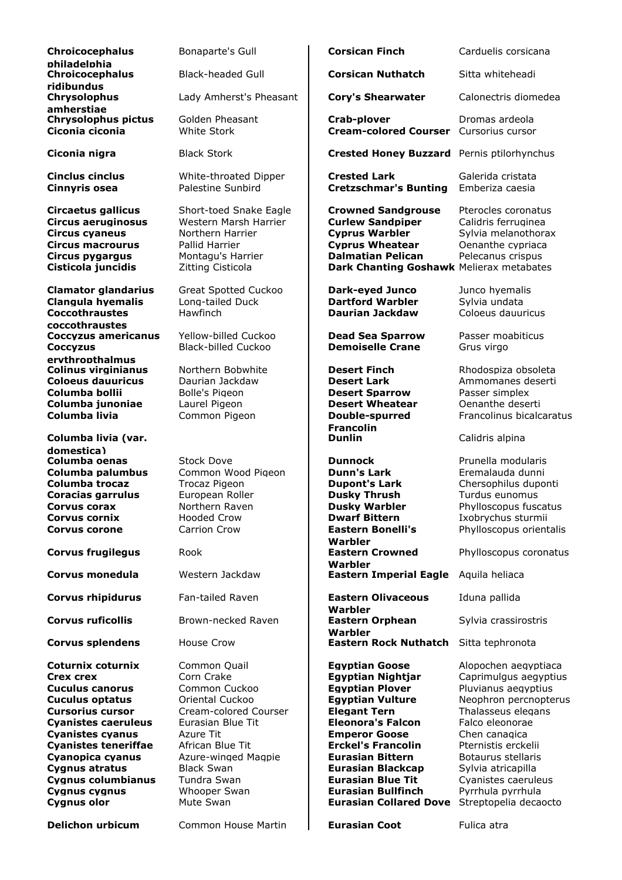| Chroicocephalus                                                                                                                                                                                                                                                                                                               | Bonaparte's Gull                                                                                                                                                                                                                      | <b>Corsican Finch</b>                                                                                                                                                                                                                                                                                                                                           | Carduelis corsicar                                                                                                                                                                                                                                                      |
|-------------------------------------------------------------------------------------------------------------------------------------------------------------------------------------------------------------------------------------------------------------------------------------------------------------------------------|---------------------------------------------------------------------------------------------------------------------------------------------------------------------------------------------------------------------------------------|-----------------------------------------------------------------------------------------------------------------------------------------------------------------------------------------------------------------------------------------------------------------------------------------------------------------------------------------------------------------|-------------------------------------------------------------------------------------------------------------------------------------------------------------------------------------------------------------------------------------------------------------------------|
| philadelphia<br>Chroicocephalus<br>ridibundus                                                                                                                                                                                                                                                                                 | Black-headed Gull                                                                                                                                                                                                                     | <b>Corsican Nuthatch</b>                                                                                                                                                                                                                                                                                                                                        | Sitta whiteheadi                                                                                                                                                                                                                                                        |
| Chrysolophus<br>amherstiae                                                                                                                                                                                                                                                                                                    | Lady Amherst's Pheasant                                                                                                                                                                                                               | <b>Cory's Shearwater</b>                                                                                                                                                                                                                                                                                                                                        | Calonectris diome                                                                                                                                                                                                                                                       |
| <b>Chrysolophus pictus</b><br>Ciconia ciconia                                                                                                                                                                                                                                                                                 | Golden Pheasant<br>White Stork                                                                                                                                                                                                        | Crab-plover<br><b>Cream-colored Courser</b>                                                                                                                                                                                                                                                                                                                     | Dromas ardeola<br>Cursorius cursor                                                                                                                                                                                                                                      |
| Ciconia nigra                                                                                                                                                                                                                                                                                                                 | <b>Black Stork</b>                                                                                                                                                                                                                    | <b>Crested Honey Buzzard</b> Pernis ptilorhynch                                                                                                                                                                                                                                                                                                                 |                                                                                                                                                                                                                                                                         |
| <b>Cinclus cinclus</b><br><b>Cinnyris osea</b>                                                                                                                                                                                                                                                                                | White-throated Dipper<br>Palestine Sunbird                                                                                                                                                                                            | <b>Crested Lark</b><br><b>Cretzschmar's Bunting</b>                                                                                                                                                                                                                                                                                                             | Galerida cristata<br>Emberiza caesia                                                                                                                                                                                                                                    |
| Circaetus gallicus<br><b>Circus aeruginosus</b><br><b>Circus cyaneus</b><br><b>Circus macrourus</b><br>Circus pygargus<br>Cisticola juncidis                                                                                                                                                                                  | Short-toed Snake Eagle<br>Western Marsh Harrier<br>Northern Harrier<br>Pallid Harrier<br>Montagu's Harrier<br>Zitting Cisticola                                                                                                       | <b>Crowned Sandgrouse</b><br><b>Curlew Sandpiper</b><br><b>Cyprus Warbler</b><br><b>Cyprus Wheatear</b><br><b>Dalmatian Pelican</b><br>Dark Chanting Goshawk Melierax metabat                                                                                                                                                                                   | Pterocles coronat<br>Calidris ferrugine<br>Sylvia melanotho<br>Oenanthe cypriac<br>Pelecanus crispus                                                                                                                                                                    |
| <b>Clamator glandarius</b><br><b>Clangula hyemalis</b><br><b>Coccothraustes</b><br>coccothraustes                                                                                                                                                                                                                             | <b>Great Spotted Cuckoo</b><br>Long-tailed Duck<br>Hawfinch                                                                                                                                                                           | <b>Dark-eyed Junco</b><br><b>Dartford Warbler</b><br><b>Daurian Jackdaw</b>                                                                                                                                                                                                                                                                                     | Junco hvemalis<br>Sylvia undata<br>Coloeus dauuricus                                                                                                                                                                                                                    |
| <b>Coccyzus americanus</b><br><b>Coccyzus</b>                                                                                                                                                                                                                                                                                 | Yellow-billed Cuckoo<br><b>Black-billed Cuckoo</b>                                                                                                                                                                                    | <b>Dead Sea Sparrow</b><br><b>Demoiselle Crane</b>                                                                                                                                                                                                                                                                                                              | Passer moabiticus<br>Grus virgo                                                                                                                                                                                                                                         |
| ervthropthalmus<br><b>Colinus virginianus</b><br><b>Coloeus dauuricus</b><br>Columba bollii<br>Columba junoniae<br>Columba livia<br>Columba livia (var.                                                                                                                                                                       | Northern Bobwhite<br>Daurian Jackdaw<br>Bolle's Pigeon<br>Laurel Pigeon<br>Common Pigeon                                                                                                                                              | <b>Desert Finch</b><br><b>Desert Lark</b><br><b>Desert Sparrow</b><br><b>Desert Wheatear</b><br>Double-spurred<br><b>Francolin</b><br><b>Dunlin</b>                                                                                                                                                                                                             | Rhodospiza obsol<br>Ammomanes des<br>Passer simplex<br>Oenanthe deserti<br>Francolinus bicald<br>Calidris alpina                                                                                                                                                        |
| domestica)<br>Columba oenas<br>Columba palumbus<br>Columba trocaz<br>Coracias garrulus<br>Corvus corax<br>Corvus cornix<br><b>Corvus corone</b>                                                                                                                                                                               | <b>Stock Dove</b><br>Common Wood Pigeon<br><b>Trocaz Pigeon</b><br>European Roller<br>Northern Raven<br><b>Hooded Crow</b><br>Carrion Crow                                                                                            | <b>Dunnock</b><br><b>Dunn's Lark</b><br><b>Dupont's Lark</b><br><b>Dusky Thrush</b><br><b>Dusky Warbler</b><br><b>Dwarf Bittern</b><br><b>Eastern Bonelli's</b>                                                                                                                                                                                                 | Prunella modulari<br>Eremalauda dunn<br>Chersophilus dup<br>Turdus eunomus<br>Phylloscopus fusc<br>Ixobrychus sturm<br>Phylloscopus orie                                                                                                                                |
| <b>Corvus frugilegus</b>                                                                                                                                                                                                                                                                                                      | Rook                                                                                                                                                                                                                                  | Warbler<br><b>Eastern Crowned</b>                                                                                                                                                                                                                                                                                                                               | Phylloscopus coro                                                                                                                                                                                                                                                       |
| Corvus monedula                                                                                                                                                                                                                                                                                                               | Western Jackdaw                                                                                                                                                                                                                       | Warbler<br><b>Eastern Imperial Eagle</b>                                                                                                                                                                                                                                                                                                                        | Aquila heliaca                                                                                                                                                                                                                                                          |
| <b>Corvus rhipidurus</b>                                                                                                                                                                                                                                                                                                      | Fan-tailed Raven                                                                                                                                                                                                                      | <b>Eastern Olivaceous</b><br>Warbler                                                                                                                                                                                                                                                                                                                            | Iduna pallida                                                                                                                                                                                                                                                           |
| <b>Corvus ruficollis</b>                                                                                                                                                                                                                                                                                                      | Brown-necked Raven                                                                                                                                                                                                                    | <b>Eastern Orphean</b><br>Warbler                                                                                                                                                                                                                                                                                                                               | Sylvia crassirostri                                                                                                                                                                                                                                                     |
| <b>Corvus splendens</b>                                                                                                                                                                                                                                                                                                       | <b>House Crow</b>                                                                                                                                                                                                                     | <b>Eastern Rock Nuthatch</b>                                                                                                                                                                                                                                                                                                                                    | Sitta tephronota                                                                                                                                                                                                                                                        |
| Coturnix coturnix<br><b>Crex crex</b><br><b>Cuculus canorus</b><br><b>Cuculus optatus</b><br><b>Cursorius cursor</b><br><b>Cyanistes caeruleus</b><br><b>Cyanistes cyanus</b><br><b>Cyanistes teneriffae</b><br>Cyanopica cyanus<br><b>Cygnus atratus</b><br><b>Cygnus columbianus</b><br><b>Cygnus cygnus</b><br>Cygnus olor | Common Quail<br>Corn Crake<br>Common Cuckoo<br>Oriental Cuckoo<br>Cream-colored Courser<br>Eurasian Blue Tit<br>Azure Tit<br>African Blue Tit<br>Azure-winged Magpie<br><b>Black Swan</b><br>Tundra Swan<br>Whooper Swan<br>Mute Swan | <b>Egyptian Goose</b><br><b>Egyptian Nightjar</b><br><b>Egyptian Plover</b><br><b>Egyptian Vulture</b><br><b>Elegant Tern</b><br><b>Eleonora's Falcon</b><br><b>Emperor Goose</b><br><b>Erckel's Francolin</b><br><b>Eurasian Bittern</b><br><b>Eurasian Blackcap</b><br><b>Eurasian Blue Tit</b><br><b>Eurasian Bullfinch</b><br><b>Eurasian Collared Dove</b> | Alopochen aeqypt<br>Caprimulgus aegy<br>Pluvianus aegypti<br>Neophron percno<br>Thalasseus elegar<br>Falco eleonorae<br>Chen canagica<br>Pternistis erckelii<br>Botaurus stellaris<br>Sylvia atricapilla<br>Cyanistes caerule<br>Pyrrhula pyrrhula<br>Streptopelia deca |
| <b>Delichon urbicum</b>                                                                                                                                                                                                                                                                                                       | Common House Martin                                                                                                                                                                                                                   | <b>Eurasian Coot</b>                                                                                                                                                                                                                                                                                                                                            | Fulica atra                                                                                                                                                                                                                                                             |

| <b>Chroicocephalus</b><br>philadelphia                                                                                                                                                                                                                                                            | Bonaparte's Gull                                                                                                                                                                                                                      | <b>Corsican Finch</b>                                                                                                                                                                                                                                                                                                                                           | Carduelis corsicana                                                                                                                                                                                                                                                                             |
|---------------------------------------------------------------------------------------------------------------------------------------------------------------------------------------------------------------------------------------------------------------------------------------------------|---------------------------------------------------------------------------------------------------------------------------------------------------------------------------------------------------------------------------------------|-----------------------------------------------------------------------------------------------------------------------------------------------------------------------------------------------------------------------------------------------------------------------------------------------------------------------------------------------------------------|-------------------------------------------------------------------------------------------------------------------------------------------------------------------------------------------------------------------------------------------------------------------------------------------------|
| <b>Chroicocephalus</b><br>ridibundus                                                                                                                                                                                                                                                              | <b>Black-headed Gull</b>                                                                                                                                                                                                              | <b>Corsican Nuthatch</b>                                                                                                                                                                                                                                                                                                                                        | Sitta whiteheadi                                                                                                                                                                                                                                                                                |
| <b>Chrysolophus</b><br>amherstiae                                                                                                                                                                                                                                                                 | Lady Amherst's Pheasant                                                                                                                                                                                                               | <b>Cory's Shearwater</b>                                                                                                                                                                                                                                                                                                                                        | Calonectris diomedea                                                                                                                                                                                                                                                                            |
| Chrysolophus pictus<br>Ciconia ciconia                                                                                                                                                                                                                                                            | Golden Pheasant<br>White Stork                                                                                                                                                                                                        | <b>Crab-plover</b><br><b>Cream-colored Courser</b> Cursorius cursor                                                                                                                                                                                                                                                                                             | Dromas ardeola                                                                                                                                                                                                                                                                                  |
| Ciconia nigra                                                                                                                                                                                                                                                                                     | <b>Black Stork</b>                                                                                                                                                                                                                    | <b>Crested Honey Buzzard</b> Pernis ptilorhynchus                                                                                                                                                                                                                                                                                                               |                                                                                                                                                                                                                                                                                                 |
| Cinclus cinclus<br>Cinnyris osea                                                                                                                                                                                                                                                                  | White-throated Dipper<br>Palestine Sunbird                                                                                                                                                                                            | <b>Crested Lark</b><br><b>Cretzschmar's Bunting</b>                                                                                                                                                                                                                                                                                                             | Galerida cristata<br>Emberiza caesia                                                                                                                                                                                                                                                            |
| Circaetus gallicus<br>Circus aeruginosus<br>Circus cyaneus<br>Circus macrourus<br>Circus pygargus<br>Cisticola juncidis                                                                                                                                                                           | Short-toed Snake Eagle<br>Western Marsh Harrier<br>Northern Harrier<br>Pallid Harrier<br>Montagu's Harrier<br>Zitting Cisticola                                                                                                       | <b>Crowned Sandgrouse</b><br><b>Curlew Sandpiper</b><br><b>Cyprus Warbler</b><br><b>Cyprus Wheatear</b><br><b>Dalmatian Pelican</b><br>Dark Chanting Goshawk Melierax metabates                                                                                                                                                                                 | Pterocles coronatus<br>Calidris ferruginea<br>Sylvia melanothorax<br>Oenanthe cypriaca<br>Pelecanus crispus                                                                                                                                                                                     |
| <b>Clamator glandarius</b><br><b>Clangula hyemalis</b><br><b>Coccothraustes</b>                                                                                                                                                                                                                   | <b>Great Spotted Cuckoo</b><br>Long-tailed Duck<br><b>Hawfinch</b>                                                                                                                                                                    | <b>Dark-eyed Junco</b><br><b>Dartford Warbler</b><br>Daurian Jackdaw                                                                                                                                                                                                                                                                                            | Junco hyemalis<br>Sylvia undata<br>Coloeus dauuricus                                                                                                                                                                                                                                            |
| coccothraustes<br>Coccyzus americanus<br><b>Coccyzus</b>                                                                                                                                                                                                                                          | Yellow-billed Cuckoo<br><b>Black-billed Cuckoo</b>                                                                                                                                                                                    | <b>Dead Sea Sparrow</b><br><b>Demoiselle Crane</b>                                                                                                                                                                                                                                                                                                              | Passer moabiticus<br>Grus virgo                                                                                                                                                                                                                                                                 |
| ervthropthalmus<br>Colinus virginianus<br><b>Coloeus dauuricus</b><br>Columba bollii<br>Columba junoniae<br>Columba livia                                                                                                                                                                         | Northern Bobwhite<br>Daurian Jackdaw<br>Bolle's Pigeon<br>Laurel Pigeon<br>Common Pigeon                                                                                                                                              | <b>Desert Finch</b><br><b>Desert Lark</b><br><b>Desert Sparrow</b><br><b>Desert Wheatear</b><br><b>Double-spurred</b><br><b>Francolin</b>                                                                                                                                                                                                                       | Rhodospiza obsoleta<br>Ammomanes deserti<br>Passer simplex<br>Oenanthe deserti<br>Francolinus bicalcaratus                                                                                                                                                                                      |
| Columba livia (var.<br>domestica)                                                                                                                                                                                                                                                                 |                                                                                                                                                                                                                                       | <b>Dunlin</b>                                                                                                                                                                                                                                                                                                                                                   | Calidris alpina                                                                                                                                                                                                                                                                                 |
| Columba oenas<br>Columba palumbus<br>Columba trocaz<br><b>Coracias garrulus</b>                                                                                                                                                                                                                   | <b>Stock Dove</b><br>Common Wood Pigeon<br><b>Trocaz Pigeon</b><br>European Roller                                                                                                                                                    | <b>Dunnock</b><br><b>Dunn's Lark</b><br><b>Dupont's Lark</b><br><b>Dusky Thrush</b>                                                                                                                                                                                                                                                                             | Prunella modularis<br>Eremalauda dunni<br>Chersophilus duponti<br>Turdus eunomus                                                                                                                                                                                                                |
| Corvus corax                                                                                                                                                                                                                                                                                      | Northern Raven                                                                                                                                                                                                                        | <b>Dusky Warbler</b>                                                                                                                                                                                                                                                                                                                                            | Phylloscopus fuscatus                                                                                                                                                                                                                                                                           |
| Corvus cornix<br>Corvus corone                                                                                                                                                                                                                                                                    | <b>Hooded Crow</b><br><b>Carrion Crow</b>                                                                                                                                                                                             | <b>Dwarf Bittern</b><br><b>Eastern Bonelli's</b>                                                                                                                                                                                                                                                                                                                | Ixobrychus sturmii<br>Phylloscopus orientalis                                                                                                                                                                                                                                                   |
| <b>Corvus frugilegus</b>                                                                                                                                                                                                                                                                          | Rook                                                                                                                                                                                                                                  | Warbler<br><b>Eastern Crowned</b><br>Warbler                                                                                                                                                                                                                                                                                                                    | Phylloscopus coronatus                                                                                                                                                                                                                                                                          |
| Corvus monedula                                                                                                                                                                                                                                                                                   | Western Jackdaw                                                                                                                                                                                                                       | <b>Eastern Imperial Eagle</b>                                                                                                                                                                                                                                                                                                                                   | Aquila heliaca                                                                                                                                                                                                                                                                                  |
| <b>Corvus rhipidurus</b>                                                                                                                                                                                                                                                                          | Fan-tailed Raven                                                                                                                                                                                                                      | <b>Eastern Olivaceous</b><br>Warbler                                                                                                                                                                                                                                                                                                                            | Iduna pallida                                                                                                                                                                                                                                                                                   |
| <b>Corvus ruficollis</b>                                                                                                                                                                                                                                                                          | Brown-necked Raven                                                                                                                                                                                                                    | <b>Eastern Orphean</b><br>Warbler                                                                                                                                                                                                                                                                                                                               | Sylvia crassirostris                                                                                                                                                                                                                                                                            |
| <b>Corvus splendens</b>                                                                                                                                                                                                                                                                           | House Crow                                                                                                                                                                                                                            | <b>Eastern Rock Nuthatch</b>                                                                                                                                                                                                                                                                                                                                    | Sitta tephronota                                                                                                                                                                                                                                                                                |
| Coturnix coturnix<br>Crex crex<br><b>Cuculus canorus</b><br><b>Cuculus optatus</b><br><b>Cursorius cursor</b><br><b>Cyanistes caeruleus</b><br><b>Cyanistes cyanus</b><br><b>Cvanistes teneriffae</b><br>Cyanopica cyanus<br>Cygnus atratus<br>Cygnus columbianus<br>Cygnus cygnus<br>Cygnus olor | Common Quail<br>Corn Crake<br>Common Cuckoo<br>Oriental Cuckoo<br>Cream-colored Courser<br>Eurasian Blue Tit<br>Azure Tit<br>African Blue Tit<br>Azure-winged Magpie<br><b>Black Swan</b><br>Tundra Swan<br>Whooper Swan<br>Mute Swan | <b>Egyptian Goose</b><br><b>Egyptian Nightjar</b><br><b>Egyptian Plover</b><br><b>Egyptian Vulture</b><br><b>Elegant Tern</b><br><b>Eleonora's Falcon</b><br><b>Emperor Goose</b><br><b>Erckel's Francolin</b><br><b>Eurasian Bittern</b><br><b>Eurasian Blackcap</b><br><b>Eurasian Blue Tit</b><br><b>Eurasian Bullfinch</b><br><b>Eurasian Collared Dove</b> | Alopochen aegyptiaca<br>Caprimulgus aegyptius<br>Pluvianus aegyptius<br>Neophron percnopterus<br>Thalasseus elegans<br>Falco eleonorae<br>Chen canagica<br>Pternistis erckelii<br>Botaurus stellaris<br>Sylvia atricapilla<br>Cyanistes caeruleus<br>Pyrrhula pyrrhula<br>Streptopelia decaocto |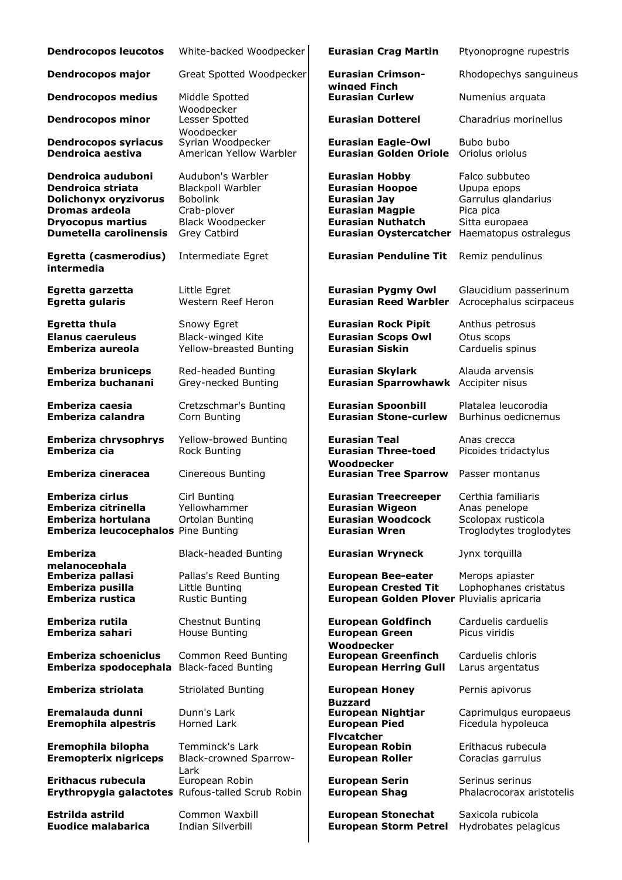| <b>Dendrocopos leucotos</b>                                                                                                                            | White-backed Woodpecker                                                                                                    | <b>Eurasian Crag Martin</b>                                                                                                                                   | Ptyonoprogne rupestris                                                                                       |
|--------------------------------------------------------------------------------------------------------------------------------------------------------|----------------------------------------------------------------------------------------------------------------------------|---------------------------------------------------------------------------------------------------------------------------------------------------------------|--------------------------------------------------------------------------------------------------------------|
| <b>Dendrocopos major</b>                                                                                                                               | Great Spotted Woodpecker                                                                                                   | <b>Eurasian Crimson-</b><br>winged Finch                                                                                                                      | Rhodopechys sanguineus                                                                                       |
| <b>Dendrocopos medius</b>                                                                                                                              | Middle Spotted<br>Woodpecker                                                                                               | <b>Eurasian Curlew</b>                                                                                                                                        | Numenius arquata                                                                                             |
| <b>Dendrocopos minor</b>                                                                                                                               | Lesser Spotted                                                                                                             | <b>Eurasian Dotterel</b>                                                                                                                                      | Charadrius morinellus                                                                                        |
| <b>Dendrocopos syriacus</b><br>Dendroica aestiva                                                                                                       | Woodpecker<br>Syrian Woodpecker<br>American Yellow Warbler                                                                 | <b>Eurasian Eagle-Owl</b><br><b>Eurasian Golden Oriole</b>                                                                                                    | Bubo bubo<br>Oriolus oriolus                                                                                 |
| Dendroica auduboni<br>Dendroica striata<br><b>Dolichonyx oryzivorus</b><br>Dromas ardeola<br><b>Dryocopus martius</b><br><b>Dumetella carolinensis</b> | Audubon's Warbler<br><b>Blackpoll Warbler</b><br><b>Bobolink</b><br>Crab-plover<br><b>Black Woodpecker</b><br>Grey Catbird | <b>Eurasian Hobby</b><br><b>Eurasian Hoopoe</b><br><b>Eurasian Jay</b><br><b>Eurasian Magpie</b><br><b>Eurasian Nuthatch</b><br><b>Eurasian Oystercatcher</b> | Falco subbuteo<br>Upupa epops<br>Garrulus glandarius<br>Pica pica<br>Sitta europaea<br>Haematopus ostralegus |
| Egretta (casmerodius)<br>intermedia                                                                                                                    | Intermediate Egret                                                                                                         | <b>Eurasian Penduline Tit</b>                                                                                                                                 | Remiz pendulinus                                                                                             |
| Egretta garzetta<br>Egretta gularis                                                                                                                    | Little Earet<br>Western Reef Heron                                                                                         | <b>Eurasian Pygmy Owl</b><br><b>Eurasian Reed Warbler</b>                                                                                                     | Glaucidium passerinum<br>Acrocephalus scirpaceus                                                             |
| <b>Egretta thula</b><br><b>Elanus caeruleus</b><br>Emberiza aureola                                                                                    | Snowy Egret<br><b>Black-winged Kite</b><br>Yellow-breasted Bunting                                                         | <b>Eurasian Rock Pipit</b><br><b>Eurasian Scops Owl</b><br><b>Eurasian Siskin</b>                                                                             | Anthus petrosus<br>Otus scops<br>Carduelis spinus                                                            |
| <b>Emberiza bruniceps</b><br>Emberiza buchanani                                                                                                        | Red-headed Bunting<br>Grey-necked Bunting                                                                                  | <b>Eurasian Skylark</b><br><b>Eurasian Sparrowhawk</b>                                                                                                        | Alauda arvensis<br>Accipiter nisus                                                                           |
| Emberiza caesia<br>Emberiza calandra                                                                                                                   | Cretzschmar's Bunting<br>Corn Bunting                                                                                      | <b>Eurasian Spoonbill</b><br><b>Eurasian Stone-curlew</b>                                                                                                     | Platalea leucorodia<br>Burhinus oedicnemus                                                                   |
| <b>Emberiza chrysophrys</b><br>Emberiza cia                                                                                                            | Yellow-browed Bunting<br>Rock Bunting                                                                                      | <b>Eurasian Teal</b><br><b>Eurasian Three-toed</b><br>Woodpecker                                                                                              | Anas crecca<br>Picoides tridactylus                                                                          |
| <b>Emberiza cineracea</b>                                                                                                                              | <b>Cinereous Bunting</b>                                                                                                   | <b>Eurasian Tree Sparrow</b>                                                                                                                                  | Passer montanus                                                                                              |
| <b>Emberiza cirlus</b><br>Emberiza citrinella<br>Emberiza hortulana<br><b>Emberiza leucocephalos</b> Pine Bunting                                      | Cirl Bunting<br>Yellowhammer<br>Ortolan Bunting                                                                            | <b>Eurasian Treecreeper</b><br><b>Eurasian Wigeon</b><br><b>Eurasian Woodcock</b><br><b>Eurasian Wren</b>                                                     | Certhia familiaris<br>Anas penelope<br>Scolopax rusticola<br>Troglodytes troglodytes                         |
| <b>Emberiza</b>                                                                                                                                        | <b>Black-headed Bunting</b>                                                                                                | <b>Eurasian Wryneck</b>                                                                                                                                       | Jynx torquilla                                                                                               |
| melanocephala<br>Emberiza pallasi<br>Emberiza pusilla<br>Emberiza rustica                                                                              | Pallas's Reed Bunting<br>Little Bunting<br><b>Rustic Bunting</b>                                                           | <b>European Bee-eater</b><br><b>European Crested Tit</b><br>European Golden Plover Pluvialis apricaria                                                        | Merops apiaster<br>Lophophanes cristatus                                                                     |
| Emberiza rutila<br>Emberiza sahari                                                                                                                     | <b>Chestnut Bunting</b><br>House Bunting                                                                                   | <b>European Goldfinch</b><br><b>European Green</b><br>Woodpecker                                                                                              | Carduelis carduelis<br>Picus viridis                                                                         |
| <b>Emberiza schoeniclus</b><br>Emberiza spodocephala                                                                                                   | Common Reed Bunting<br><b>Black-faced Bunting</b>                                                                          | <b>European Greenfinch</b><br><b>European Herring Gull</b>                                                                                                    | Carduelis chloris<br>Larus argentatus                                                                        |
| Emberiza striolata                                                                                                                                     | <b>Striolated Bunting</b>                                                                                                  | <b>European Honey</b>                                                                                                                                         | Pernis apivorus                                                                                              |
| Eremalauda dunni<br><b>Eremophila alpestris</b>                                                                                                        | Dunn's Lark<br>Horned Lark                                                                                                 | <b>Buzzard</b><br><b>European Nightjar</b><br><b>European Pied</b><br><b>Flycatcher</b><br><b>European Robin</b><br><b>European Roller</b>                    | Caprimulgus europaeus<br>Ficedula hypoleuca                                                                  |
| Eremophila bilopha<br><b>Eremopterix nigriceps</b>                                                                                                     | Temminck's Lark<br>Black-crowned Sparrow-<br>Lark                                                                          |                                                                                                                                                               | Erithacus rubecula<br>Coracias garrulus                                                                      |
| Erithacus rubecula<br>Erythropygia galactotes Rufous-tailed Scrub Robin                                                                                | European Robin                                                                                                             | <b>European Serin</b><br><b>European Shag</b>                                                                                                                 | Serinus serinus<br>Phalacrocorax aristotelis                                                                 |
| Estrilda astrild<br><b>Euodice malabarica</b>                                                                                                          | Common Waxbill<br><b>Indian Silverbill</b>                                                                                 | <b>European Stonechat</b><br><b>European Storm Petrel</b>                                                                                                     | Saxicola rubicola<br>Hydrobates pelagicus                                                                    |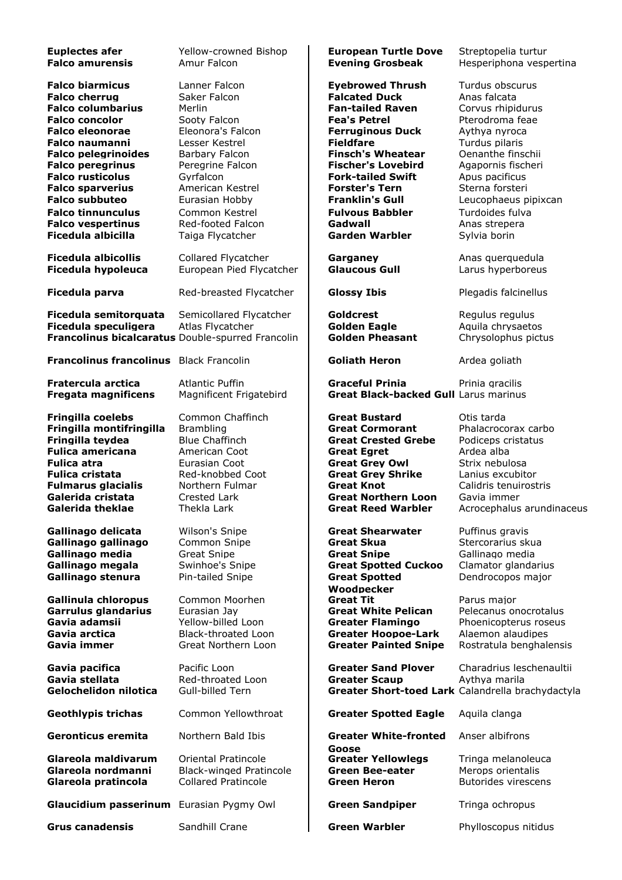| <b>Euplectes afer</b><br><b>Falco amurensis</b>                                                                                                                                                                                                                                                                                                                              | Yellow-crowned Bishop<br>Amur Falcon                                                                                                                                                                                                               | <b>European Turtle Dove</b><br><b>Evening Grosbeak</b>                                                                                                                                                                                                                                                                                                 | Streptopelia turtur<br>Hesperiphona vespertina                                                                                                                                                                                                                         |
|------------------------------------------------------------------------------------------------------------------------------------------------------------------------------------------------------------------------------------------------------------------------------------------------------------------------------------------------------------------------------|----------------------------------------------------------------------------------------------------------------------------------------------------------------------------------------------------------------------------------------------------|--------------------------------------------------------------------------------------------------------------------------------------------------------------------------------------------------------------------------------------------------------------------------------------------------------------------------------------------------------|------------------------------------------------------------------------------------------------------------------------------------------------------------------------------------------------------------------------------------------------------------------------|
| <b>Falco biarmicus</b><br><b>Falco cherrug</b><br><b>Falco columbarius</b><br><b>Falco concolor</b><br><b>Falco eleonorae</b><br><b>Falco naumanni</b><br><b>Falco pelegrinoides</b><br><b>Falco peregrinus</b><br><b>Falco rusticolus</b><br><b>Falco sparverius</b><br><b>Falco subbuteo</b><br><b>Falco tinnunculus</b><br><b>Falco vespertinus</b><br>Ficedula albicilla | Lanner Falcon<br>Saker Falcon<br>Merlin<br>Sooty Falcon<br>Eleonora's Falcon<br>Lesser Kestrel<br>Barbary Falcon<br>Peregrine Falcon<br>Gyrfalcon<br>American Kestrel<br>Eurasian Hobby<br>Common Kestrel<br>Red-footed Falcon<br>Taiga Flycatcher | <b>Eyebrowed Thrush</b><br><b>Falcated Duck</b><br><b>Fan-tailed Raven</b><br><b>Fea's Petrel</b><br><b>Ferruginous Duck</b><br><b>Fieldfare</b><br><b>Finsch's Wheatear</b><br><b>Fischer's Lovebird</b><br><b>Fork-tailed Swift</b><br><b>Forster's Tern</b><br><b>Franklin's Gull</b><br><b>Fulvous Babbler</b><br>Gadwall<br><b>Garden Warbler</b> | Turdus obscurus<br>Anas falcata<br>Corvus rhipidurus<br>Pterodroma feae<br>Aythya nyroca<br>Turdus pilaris<br>Oenanthe finschii<br>Agapornis fischeri<br>Apus pacificus<br>Sterna forsteri<br>Leucophaeus pipixcan<br>Turdoides fulva<br>Anas strepera<br>Sylvia borin |
| <b>Ficedula albicollis</b><br><b>Ficedula hypoleuca</b>                                                                                                                                                                                                                                                                                                                      | Collared Flycatcher<br>European Pied Flycatcher                                                                                                                                                                                                    | Garganey<br><b>Glaucous Gull</b>                                                                                                                                                                                                                                                                                                                       | Anas querquedula<br>Larus hyperboreus                                                                                                                                                                                                                                  |
| Ficedula parva                                                                                                                                                                                                                                                                                                                                                               | Red-breasted Flycatcher                                                                                                                                                                                                                            | <b>Glossy Ibis</b>                                                                                                                                                                                                                                                                                                                                     | Plegadis falcinellus                                                                                                                                                                                                                                                   |
| Ficedula semitorquata<br>Ficedula speculigera<br>Francolinus bicalcaratus Double-spurred Francolin                                                                                                                                                                                                                                                                           | Semicollared Flycatcher<br>Atlas Flycatcher                                                                                                                                                                                                        | Goldcrest<br><b>Golden Eagle</b><br><b>Golden Pheasant</b>                                                                                                                                                                                                                                                                                             | Regulus regulus<br>Aquila chrysaetos<br>Chrysolophus pictus                                                                                                                                                                                                            |
| <b>Francolinus francolinus</b> Black Francolin                                                                                                                                                                                                                                                                                                                               |                                                                                                                                                                                                                                                    | <b>Goliath Heron</b>                                                                                                                                                                                                                                                                                                                                   | Ardea goliath                                                                                                                                                                                                                                                          |
| Fratercula arctica<br><b>Fregata magnificens</b>                                                                                                                                                                                                                                                                                                                             | <b>Atlantic Puffin</b><br>Magnificent Frigatebird                                                                                                                                                                                                  | <b>Graceful Prinia</b><br><b>Great Black-backed Gull Larus marinus</b>                                                                                                                                                                                                                                                                                 | Prinia gracilis                                                                                                                                                                                                                                                        |
| Fringilla coelebs<br>Fringilla montifringilla<br>Fringilla teydea<br><b>Fulica americana</b><br><b>Fulica atra</b><br><b>Fulica cristata</b><br><b>Fulmarus glacialis</b><br>Galerida cristata<br>Galerida theklae                                                                                                                                                           | Common Chaffinch<br><b>Brambling</b><br><b>Blue Chaffinch</b><br>American Coot<br>Eurasian Coot<br>Red-knobbed Coot<br>Northern Fulmar<br>Crested Lark<br>Thekla Lark                                                                              | <b>Great Bustard</b><br><b>Great Cormorant</b><br><b>Great Crested Grebe</b><br><b>Great Egret</b><br><b>Great Grey Owl</b><br><b>Great Grey Shrike</b><br><b>Great Knot</b><br><b>Great Northern Loon</b><br>Great Reed Warbler                                                                                                                       | Otis tarda<br>Phalacrocorax carbo<br>Podiceps cristatus<br>Ardea alba<br>Strix nebulosa<br>Lanius excubitor<br>Calidris tenuirostris<br>Gavia immer<br>Acrocephalus arundinaceus                                                                                       |
| Gallinago delicata<br>Gallinago gallinago<br>Gallinago media<br>Gallinago megala<br>Gallinago stenura<br>Gallinula chloropus<br>Garrulus glandarius                                                                                                                                                                                                                          | Wilson's Snipe<br>Common Snipe<br><b>Great Snipe</b><br>Swinhoe's Snipe<br>Pin-tailed Snipe<br>Common Moorhen<br>Eurasian Jay                                                                                                                      | <b>Great Shearwater</b><br><b>Great Skua</b><br><b>Great Snipe</b><br><b>Great Spotted Cuckoo</b><br><b>Great Spotted</b><br>Woodpecker<br><b>Great Tit</b><br><b>Great White Pelican</b>                                                                                                                                                              | Puffinus gravis<br>Stercorarius skua<br>Gallinago media<br>Clamator glandarius<br>Dendrocopos major<br>Parus major<br>Pelecanus onocrotalus                                                                                                                            |
| Gavia adamsii<br>Gavia arctica<br>Gavia immer                                                                                                                                                                                                                                                                                                                                | Yellow-billed Loon<br>Black-throated Loon<br>Great Northern Loon                                                                                                                                                                                   | <b>Greater Flamingo</b><br><b>Greater Hoopoe-Lark</b><br><b>Greater Painted Snipe</b>                                                                                                                                                                                                                                                                  | Phoenicopterus roseus<br>Alaemon alaudipes<br>Rostratula benghalensis                                                                                                                                                                                                  |
| Gavia pacifica<br>Gavia stellata<br>Gelochelidon nilotica                                                                                                                                                                                                                                                                                                                    | Pacific Loon<br>Red-throated Loon<br>Gull-billed Tern                                                                                                                                                                                              | <b>Greater Sand Plover</b><br><b>Greater Scaup</b><br>Greater Short-toed Lark Calandrella brachydactyla                                                                                                                                                                                                                                                | Charadrius leschenaultii<br>Aythya marila                                                                                                                                                                                                                              |
| <b>Geothlypis trichas</b>                                                                                                                                                                                                                                                                                                                                                    | Common Yellowthroat                                                                                                                                                                                                                                | <b>Greater Spotted Eagle</b>                                                                                                                                                                                                                                                                                                                           | Aquila clanga                                                                                                                                                                                                                                                          |
| Geronticus eremita<br>Glareola maldivarum                                                                                                                                                                                                                                                                                                                                    | Northern Bald Ibis<br>Oriental Pratincole                                                                                                                                                                                                          | <b>Greater White-fronted</b><br>Goose<br><b>Greater Yellowlegs</b>                                                                                                                                                                                                                                                                                     | Anser albifrons<br>Tringa melanoleuca                                                                                                                                                                                                                                  |
| Glareola nordmanni<br>Glareola pratincola                                                                                                                                                                                                                                                                                                                                    | <b>Black-winged Pratincole</b><br><b>Collared Pratincole</b>                                                                                                                                                                                       | <b>Green Bee-eater</b><br><b>Green Heron</b>                                                                                                                                                                                                                                                                                                           | Merops orientalis<br><b>Butorides virescens</b>                                                                                                                                                                                                                        |
| Glaucidium passerinum Eurasian Pygmy Owl                                                                                                                                                                                                                                                                                                                                     |                                                                                                                                                                                                                                                    | <b>Green Sandpiper</b>                                                                                                                                                                                                                                                                                                                                 | Tringa ochropus                                                                                                                                                                                                                                                        |
| <b>Grus canadensis</b>                                                                                                                                                                                                                                                                                                                                                       | Sandhill Crane                                                                                                                                                                                                                                     | <b>Green Warbler</b>                                                                                                                                                                                                                                                                                                                                   | Phylloscopus nitidus                                                                                                                                                                                                                                                   |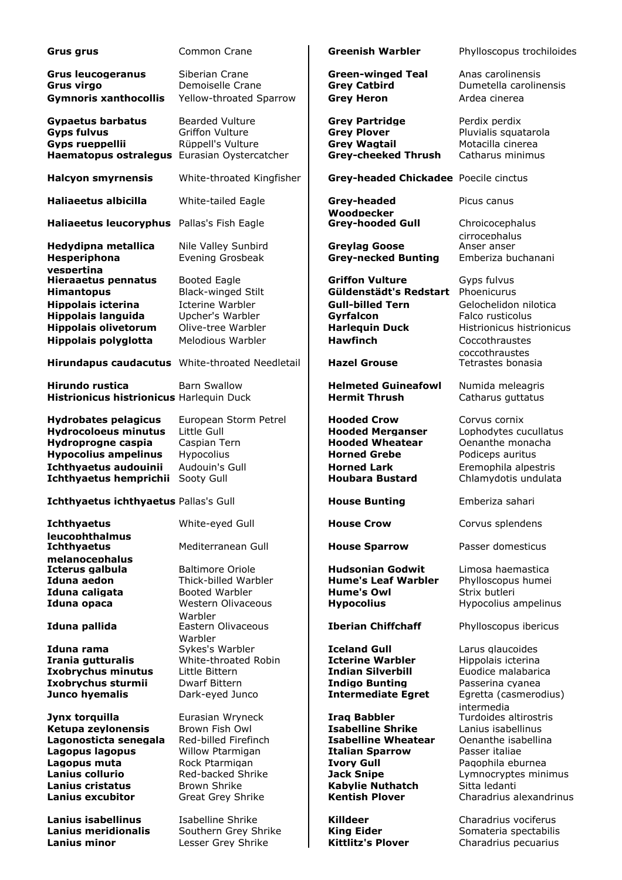| Grus grus                                                                                                                                                                                       | <b>Common Crane</b>                                                                                                                                                                    | <b>Greenish Warbler</b>                                                                                                                                                                                                  | Phylloscopu                                                                                                                                            |
|-------------------------------------------------------------------------------------------------------------------------------------------------------------------------------------------------|----------------------------------------------------------------------------------------------------------------------------------------------------------------------------------------|--------------------------------------------------------------------------------------------------------------------------------------------------------------------------------------------------------------------------|--------------------------------------------------------------------------------------------------------------------------------------------------------|
| <b>Grus leucogeranus</b><br><b>Grus virgo</b><br><b>Gymnoris xanthocollis</b>                                                                                                                   | Siberian Crane<br>Demoiselle Crane<br>Yellow-throated Sparrow                                                                                                                          | <b>Green-winged Teal</b><br><b>Grey Catbird</b><br><b>Grey Heron</b>                                                                                                                                                     | Anas carolin<br>Dumetella c<br>Ardea ciner                                                                                                             |
| <b>Gypaetus barbatus</b><br><b>Gyps fulvus</b><br>Gyps rueppellii<br>Haematopus ostralegus Eurasian Oystercatcher                                                                               | <b>Bearded Vulture</b><br><b>Griffon Vulture</b><br>Rüppell's Vulture                                                                                                                  | <b>Grey Partridge</b><br><b>Grey Plover</b><br><b>Grey Wagtail</b><br><b>Grey-cheeked Thrush</b>                                                                                                                         | Perdix perdi<br>Pluvialis squ<br>Motacilla cir<br>Catharus m                                                                                           |
| <b>Halcyon smyrnensis</b>                                                                                                                                                                       | White-throated Kingfisher                                                                                                                                                              | Grey-headed Chickadee Poecile cinct                                                                                                                                                                                      |                                                                                                                                                        |
| Haliaeetus albicilla                                                                                                                                                                            | White-tailed Eagle                                                                                                                                                                     | Grey-headed                                                                                                                                                                                                              | Picus canus                                                                                                                                            |
| Haliaeetus leucoryphus Pallas's Fish Eagle                                                                                                                                                      |                                                                                                                                                                                        | Woodpecker<br><b>Grey-hooded Gull</b>                                                                                                                                                                                    | Chroicoceph<br>cirrocephalu                                                                                                                            |
| Hedydipna metallica<br>Hesperiphona                                                                                                                                                             | Nile Valley Sunbird<br>Evening Grosbeak                                                                                                                                                | <b>Greylag Goose</b><br><b>Grey-necked Bunting</b>                                                                                                                                                                       | Anser anser<br>Emberiza bu                                                                                                                             |
| vespertina<br><b>Hieraaetus pennatus</b><br><b>Himantopus</b><br><b>Hippolais icterina</b><br><b>Hippolais languida</b><br><b>Hippolais olivetorum</b><br><b>Hippolais polyglotta</b>           | Booted Eagle<br><b>Black-winged Stilt</b><br>Icterine Warbler<br>Upcher's Warbler<br>Olive-tree Warbler<br>Melodious Warbler                                                           | <b>Griffon Vulture</b><br>Güldenstädt's Redstart<br><b>Gull-billed Tern</b><br>Gyrfalcon<br><b>Harlequin Duck</b><br><b>Hawfinch</b>                                                                                     | Gyps fulvus<br>Phoenicurus<br>Gelochelido<br>Falco rustico<br>Histrionicus<br>Coccothraus<br>coccothraus                                               |
| Hirundapus caudacutus White-throated Needletail                                                                                                                                                 |                                                                                                                                                                                        | <b>Hazel Grouse</b>                                                                                                                                                                                                      | Tetrastes bo                                                                                                                                           |
| <b>Hirundo rustica</b><br>Histrionicus histrionicus Harlequin Duck                                                                                                                              | <b>Barn Swallow</b>                                                                                                                                                                    | <b>Helmeted Guineafowl</b><br><b>Hermit Thrush</b>                                                                                                                                                                       | Numida mel<br>Catharus gu                                                                                                                              |
| <b>Hydrobates pelagicus</b><br><b>Hydrocoloeus minutus</b><br>Hydroprogne caspia<br><b>Hypocolius ampelinus</b><br>Ichthyaetus audouinii<br>Ichthyaetus hemprichii                              | European Storm Petrel<br>Little Gull<br>Caspian Tern<br>Hypocolius<br>Audouin's Gull<br>Sooty Gull                                                                                     | <b>Hooded Crow</b><br><b>Hooded Merganser</b><br><b>Hooded Wheatear</b><br><b>Horned Grebe</b><br><b>Horned Lark</b><br><b>Houbara Bustard</b>                                                                           | Corvus corn<br>Lophodytes<br>Oenanthe m<br>Podiceps au<br>Eremophila<br>Chlamydotis                                                                    |
| Ichthyaetus ichthyaetus Pallas's Gull                                                                                                                                                           |                                                                                                                                                                                        | <b>House Bunting</b>                                                                                                                                                                                                     | Emberiza sa                                                                                                                                            |
| <b>Ichthyaetus</b><br>leucophthalmus<br><b>Ichthyaetus</b>                                                                                                                                      | White-eyed Gull<br>Mediterranean Gull                                                                                                                                                  | <b>House Crow</b><br><b>House Sparrow</b>                                                                                                                                                                                | Corvus sple<br>Passer dom                                                                                                                              |
| melanocephalus<br>Icterus galbula<br>Iduna aedon<br>Iduna caligata<br>Iduna opaca                                                                                                               | <b>Baltimore Oriole</b><br>Thick-billed Warbler<br>Booted Warbler<br>Western Olivaceous<br>Warbler                                                                                     | <b>Hudsonian Godwit</b><br><b>Hume's Leaf Warbler</b><br><b>Hume's Owl</b><br><b>Hypocolius</b>                                                                                                                          | Limosa haer<br>Phylloscopu<br>Strix butleri<br>Hypocolius a                                                                                            |
| Iduna pallida                                                                                                                                                                                   | Eastern Olivaceous<br>Warbler                                                                                                                                                          | <b>Iberian Chiffchaff</b>                                                                                                                                                                                                | Phylloscopu                                                                                                                                            |
| Iduna rama<br>Irania gutturalis<br><b>Ixobrychus minutus</b><br>Ixobrychus sturmii<br>Junco hyemalis                                                                                            | Sykes's Warbler<br>White-throated Robin<br>Little Bittern<br>Dwarf Bittern<br>Dark-eyed Junco                                                                                          | Iceland Gull<br><b>Icterine Warbler</b><br><b>Indian Silverbill</b><br><b>Indigo Bunting</b><br><b>Intermediate Egret</b>                                                                                                | Larus glauc<br>Hippolais ict<br>Euodice ma<br>Passerina cy<br>Egretta (cas                                                                             |
| Jynx torquilla<br>Ketupa zeylonensis<br>Lagonosticta senegala<br>Lagopus lagopus<br>Lagopus muta<br>Lanius collurio<br><b>Lanius cristatus</b><br><b>Lanius excubitor</b><br>Lanius isabellinus | Eurasian Wryneck<br>Brown Fish Owl<br>Red-billed Firefinch<br>Willow Ptarmigan<br>Rock Ptarmigan<br>Red-backed Shrike<br><b>Brown Shrike</b><br>Great Grey Shrike<br>Isabelline Shrike | <b>Iraq Babbler</b><br><b>Isabelline Shrike</b><br><b>Isabelline Wheatear</b><br><b>Italian Sparrow</b><br><b>Ivory Gull</b><br><b>Jack Snipe</b><br><b>Kabylie Nuthatch</b><br><b>Kentish Plover</b><br><b>Killdeer</b> | intermedia<br>Turdoides a<br>Lanius isabe<br>Oenanthe is<br>Passer italia<br>Pagophila el<br>Lymnocrypt<br>Sitta ledanti<br>Charadrius<br>Charadrius y |
| Lanius meridionalis                                                                                                                                                                             | Southern Grev Shrike                                                                                                                                                                   | <b>King Eider</b>                                                                                                                                                                                                        | Somateria s                                                                                                                                            |

**eenish Warbler** Phylloscopus trochiloides **Frush Level Teal** Anas carolinensis **Example 3** Dumetella carolinensis **Figure X** Ardea cinerea **Expanding Expanding Perdix perdix perdix Ey Plover Griffon Constructs** Pluvialis squatarola<br> **Gray Constructs** Pluvialis squatarola **Motacilla cinerea Hagemator Catharus minimus Hagematic Catharus minimus Halcy-headed Chickadee** Poecile cinctus **ey-headed Woodpecker** Picus canus **Haliae Eagle Eagle Eagle Eagle Eagle Fish Eagle Eagle Eagle Eagle Eagle Eagle Eagle Eagle Eagle Eagle Eagle Eagle Eagle Eagle Eagle Eagle Eagle Eagle Eagle Eagle Eagle Eagle Eagle Eagle Eagle Eagle Eagle Eagle Eagle Eagle** cirrocephalus<br>Anser anser **eylag Goose** Anser anser<br>**ey-necked Bunting** Emberiza buchanani **ey-necked Bunting Hiffon Vulture Gyps fulvus Ildenstädt's Redstart** Phoenicurus **III-billed Tern** Gelochelidon nilotica **Halcon Execution Falco rusticolus Falco rusticolus**<br>**Histrionicus histriconicus** hist **Histrionicus histrionicus Winch** Coccothraustes coccothraustes **Hirandal Crouse Hartage Crouse** Tetrastes bonasia **Hirundo Guineafowl Allamida meleagris**<br>**Helmeted Guineafowl Acceptance Catharus quittatus Catharus quttatus Hydrobated Crow Corvus cornix Hydrocological Merganser** Lophodytes cucullatus **Hydroprographs** Cenanthe monacha **Hypocolius Hypote** Podiceps auritus **Iouiniae de Lark** Eremophila alpestris **Audonic Eremophila alpestris** Eremophila alpestris **Audonic Eremophila and Eremophila alpestris Chlamydotis undulata Ichthaeus Emberiza Sahari Nuse Crow** Corvus splendens **Nuse Sparrow** Passer domesticus **Idsonian Godwit** Limosa haemastica **Iduna Alduna Aedona Aedona Aumet State Warbler Phylloscopus humein Character Phylloscopus humeiner Phylloscopus <br><b>Iduna Phylloscopus Aedona Aedona Phylloscopus humeiner Phylloscopus Aedona Phylloscopus Aedona Phylloscopus Hypocolius** Hypocolius ampelinus **Iberian Chiffchaff** Phylloscopus ibericus **<b>Eland Gull Stand Gull** Larus glaucoides<br>**Ideal Accident Contains de Laren**d Hippolais icterina **Hippolais icterina Izobrychus Minutus malabarica** Euodice malabarica **Ixobrychus Sunting** Passerina cyanea *Julco hyemediate Egret* Egretta (casmerodius) intermedia **Jymbur Babbler** Furdoides altirostris<br>**Januar Santike** Tanius isabellinus **Ketupa zeylonensis** Brown Fish Owl **Isabelline Shrike** Lanius isabellinus **Labelline Wheatear** Denanthe isabellina<br>**Ilian Sparrow** Passer italiae alian Sparrow<br>orv Gull Pagophila eburnea **Land-back Snipe Lymnocryptes minimus Landie Nuthatch** Sitta ledanti **Landish Plover Charadrius alexandrinus** 

**Landigie Islandinus Islandinus** Vociferus<br>**Islandina Islandina Shrike Shrike Shrike Shrike Shrike Shrike Shrike Shrike Shrike Shrike Shrike Shrike Shrike**<br>The Shrike Shrike Shrike Shrike Shrike Shrike Shrike Shrike Shrike **Landing Southern Grey Shrike King Eider** Somateria spectabilis<br> **Kittlitz's Plover** Charadrius pecuarius **Lanius minor** Lesser Grey Shrike **Kittlitz's Plover** Charadrius pecuarius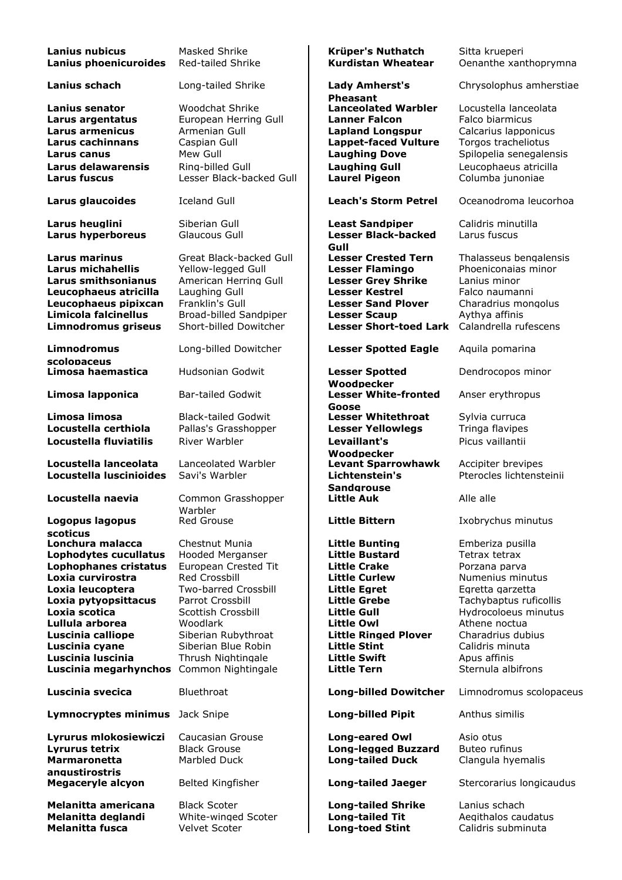| <b>Lanius nubicus</b><br>Lanius phoenicuroides | Masked Shrike<br>Red-tailed Shrike | Krüper's Nuthatch<br><b>Kurdistan Wheatear</b>       | Sitta krueperi<br>Oenanthe xanthoprymna |
|------------------------------------------------|------------------------------------|------------------------------------------------------|-----------------------------------------|
| Lanius schach                                  | Long-tailed Shrike                 | <b>Lady Amherst's</b><br><b>Pheasant</b>             | Chrysolophus amherstiae                 |
| Lanius senator                                 | <b>Woodchat Shrike</b>             | <b>Lanceolated Warbler</b>                           | Locustella lanceolata                   |
| Larus argentatus                               | European Herring Gull              | <b>Lanner Falcon</b>                                 | Falco biarmicus                         |
| Larus armenicus                                | Armenian Gull                      | <b>Lapland Longspur</b>                              | Calcarius Iapponicus                    |
| <b>Larus cachinnans</b>                        | Caspian Gull                       | <b>Lappet-faced Vulture</b>                          | Torgos tracheliotus                     |
| Larus canus                                    | Mew Gull                           | <b>Laughing Dove</b>                                 | Spilopelia senegalensis                 |
| Larus delawarensis                             | Ring-billed Gull                   | <b>Laughing Gull</b>                                 | Leucophaeus atricilla                   |
| Larus fuscus                                   | Lesser Black-backed Gull           | <b>Laurel Pigeon</b>                                 | Columba junoniae                        |
| Larus glaucoides                               | <b>Iceland Gull</b>                | <b>Leach's Storm Petrel</b>                          | Oceanodroma leucorhoa                   |
| Larus heuglini                                 | Siberian Gull<br>Glaucous Gull     | <b>Least Sandpiper</b><br><b>Lesser Black-backed</b> | Calidris minutilla<br>Larus fuscus      |
| Larus hyperboreus                              |                                    | Gull                                                 |                                         |
| <b>Larus marinus</b>                           | Great Black-backed Gull            | <b>Lesser Crested Tern</b>                           | Thalasseus bengalensis                  |
| Larus michahellis                              | Yellow-legged Gull                 | <b>Lesser Flamingo</b>                               | Phoeniconaias minor                     |
| Larus smithsonianus                            | American Herring Gull              | <b>Lesser Grey Shrike</b>                            | Lanius minor                            |
| Leucophaeus atricilla                          | Laughing Gull                      | <b>Lesser Kestrel</b>                                | Falco naumanni                          |
| Leucophaeus pipixcan                           | Franklin's Gull                    | <b>Lesser Sand Plover</b>                            | Charadrius mongolus                     |
| Limicola falcinellus                           | Broad-billed Sandpiper             | <b>Lesser Scaup</b>                                  | Aythya affinis                          |
| <b>Limnodromus griseus</b>                     | Short-billed Dowitcher             | <b>Lesser Short-toed Lark</b>                        | Calandrella rufescens                   |
|                                                |                                    |                                                      |                                         |
| <b>Limnodromus</b><br>scolopaceus              | Long-billed Dowitcher              | <b>Lesser Spotted Eagle</b>                          | Aquila pomarina                         |
| Limosa haemastica                              | <b>Hudsonian Godwit</b>            | <b>Lesser Spotted</b><br>Woodpecker                  | Dendrocopos minor                       |
| Limosa lapponica                               | <b>Bar-tailed Godwit</b>           | <b>Lesser White-fronted</b><br>Goose                 | Anser erythropus                        |
| Limosa limosa                                  | <b>Black-tailed Godwit</b>         | <b>Lesser Whitethroat</b>                            | Sylvia curruca                          |
| Locustella certhiola                           | Pallas's Grasshopper               | <b>Lesser Yellowlegs</b>                             | Tringa flavipes                         |
| Locustella fluviatilis                         | River Warbler                      | Levaillant's                                         | Picus vaillantii                        |
|                                                |                                    | Woodpecker                                           |                                         |
| Locustella lanceolata                          | Lanceolated Warbler                | <b>Levant Sparrowhawk</b>                            | Accipiter brevipes                      |
| Locustella luscinioides                        | Savi's Warbler                     | Lichtenstein's                                       | Pterocles lichtensteinii                |
|                                                |                                    | <b>Sandgrouse</b>                                    |                                         |
| Locustella naevia                              | Common Grasshopper                 | <b>Little Auk</b>                                    | Alle alle                               |
|                                                | Warbler                            |                                                      |                                         |
| Logopus lagopus                                | Red Grouse                         | <b>Little Bittern</b>                                | Ixobrychus minutus                      |
| scoticus                                       |                                    |                                                      |                                         |
| Lonchura malacca                               | Chestnut Munia                     | <b>Little Bunting</b>                                | Emberiza pusilla                        |
| Lophodytes cucullatus                          | <b>Hooded Merganser</b>            | <b>Little Bustard</b>                                | Tetrax tetrax                           |
| Lophophanes cristatus                          | European Crested Tit               | <b>Little Crake</b>                                  | Porzana parva                           |
| Loxia curvirostra                              | Red Crossbill                      | <b>Little Curlew</b>                                 | Numenius minutus                        |
| Loxia leucoptera                               | Two-barred Crossbill               | <b>Little Egret</b>                                  | Egretta garzetta                        |
| Loxia pytyopsittacus                           | Parrot Crossbill                   | <b>Little Grebe</b>                                  | Tachybaptus ruficollis                  |
| Loxia scotica                                  | Scottish Crossbill                 | <b>Little Gull</b>                                   | Hydrocoloeus minutus                    |
| Lullula arborea                                | Woodlark                           | <b>Little Owl</b>                                    | Athene noctua                           |
| Luscinia calliope                              | Siberian Rubythroat                | <b>Little Ringed Plover</b>                          | Charadrius dubius                       |
| Luscinia cyane                                 | Siberian Blue Robin                | <b>Little Stint</b>                                  | Calidris minuta                         |
| Luscinia Iuscinia                              | Thrush Nightingale                 | <b>Little Swift</b>                                  | Apus affinis                            |
| Luscinia megarhynchos                          | Common Nightingale                 | <b>Little Tern</b>                                   | Sternula albifrons                      |
| Luscinia svecica                               | Bluethroat                         | <b>Long-billed Dowitcher</b>                         | Limnodromus scolopaceus                 |
| Lymnocryptes minimus                           | Jack Snipe                         | <b>Long-billed Pipit</b>                             | Anthus similis                          |
| Lyrurus mlokosiewiczi                          | Caucasian Grouse                   | <b>Long-eared Owl</b>                                | Asio otus                               |
| Lyrurus tetrix                                 | <b>Black Grouse</b>                | <b>Long-legged Buzzard</b>                           | Buteo rufinus                           |
| <b>Marmaronetta</b>                            | Marbled Duck                       | <b>Long-tailed Duck</b>                              | Clangula hyemalis                       |
| angustirostris<br><b>Megaceryle alcyon</b>     | Belted Kingfisher                  | <b>Long-tailed Jaeger</b>                            | Stercorarius longicaudus                |
| Melanitta americana                            | <b>Black Scoter</b>                | <b>Long-tailed Shrike</b>                            | Lanius schach                           |
| Melanitta deglandi                             | White-winged Scoter                | <b>Long-tailed Tit</b>                               | Aegithalos caudatus                     |
| <b>Melanitta fusca</b>                         | Velvet Scoter                      | <b>Long-toed Stint</b>                               | Calidris subminuta                      |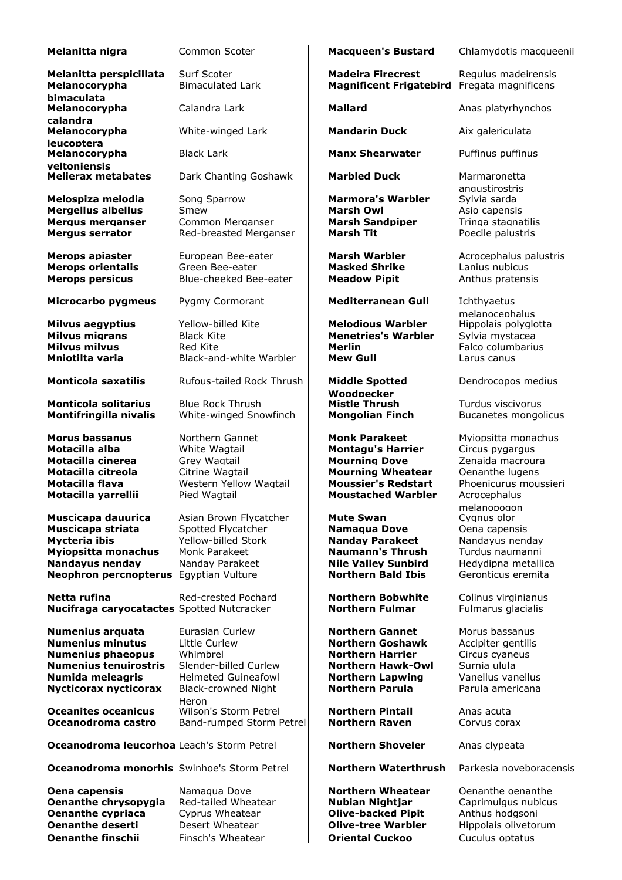| Melanitta nigra                                                                                                                                                    | Common Scoter                                                                                                                              | <b>Macqueen's Bustard</b>                                                                                                                                       | Chlamydotis macqueenii                                                                                                         |
|--------------------------------------------------------------------------------------------------------------------------------------------------------------------|--------------------------------------------------------------------------------------------------------------------------------------------|-----------------------------------------------------------------------------------------------------------------------------------------------------------------|--------------------------------------------------------------------------------------------------------------------------------|
| Melanitta perspicillata<br>Melanocorypha<br>bimaculata                                                                                                             | Surf Scoter<br><b>Bimaculated Lark</b>                                                                                                     | <b>Madeira Firecrest</b><br><b>Magnificent Frigatebird</b>                                                                                                      | Regulus madeirensis<br>Fregata magnificens                                                                                     |
| Melanocorypha<br>calandra                                                                                                                                          | Calandra Lark                                                                                                                              | <b>Mallard</b>                                                                                                                                                  | Anas platyrhynchos                                                                                                             |
| Melanocorypha<br>leucoptera                                                                                                                                        | White-winged Lark                                                                                                                          | <b>Mandarin Duck</b>                                                                                                                                            | Aix galericulata                                                                                                               |
| Melanocorypha<br>veltoniensis                                                                                                                                      | <b>Black Lark</b>                                                                                                                          | <b>Manx Shearwater</b>                                                                                                                                          | Puffinus puffinus                                                                                                              |
| <b>Melierax metabates</b>                                                                                                                                          | Dark Chanting Goshawk                                                                                                                      | <b>Marbled Duck</b>                                                                                                                                             | Marmaronetta                                                                                                                   |
| Melospiza melodia<br><b>Mergellus albellus</b><br><b>Mergus merganser</b><br><b>Mergus serrator</b>                                                                | Song Sparrow<br>Smew<br>Common Merganser<br>Red-breasted Merganser                                                                         | <b>Marmora's Warbler</b><br><b>Marsh Owl</b><br><b>Marsh Sandpiper</b><br><b>Marsh Tit</b>                                                                      | anaustirostris<br>Sylvia sarda<br>Asio capensis<br>Tringa stagnatilis<br>Poecile palustris                                     |
| <b>Merops apiaster</b><br><b>Merops orientalis</b><br><b>Merops persicus</b>                                                                                       | European Bee-eater<br>Green Bee-eater<br>Blue-cheeked Bee-eater                                                                            | <b>Marsh Warbler</b><br><b>Masked Shrike</b><br><b>Meadow Pipit</b>                                                                                             | Acrocephalus palustris<br>Lanius nubicus<br>Anthus pratensis                                                                   |
| Microcarbo pygmeus                                                                                                                                                 | Pygmy Cormorant                                                                                                                            | <b>Mediterranean Gull</b>                                                                                                                                       | Ichthyaetus<br>melanocephalus                                                                                                  |
| <b>Milvus aegyptius</b><br><b>Milvus migrans</b><br><b>Milvus milvus</b><br>Mniotilta varia                                                                        | Yellow-billed Kite<br><b>Black Kite</b><br>Red Kite<br>Black-and-white Warbler                                                             | <b>Melodious Warbler</b><br><b>Menetries's Warbler</b><br><b>Merlin</b><br><b>Mew Gull</b>                                                                      | Hippolais polyglotta<br>Sylvia mystacea<br>Falco columbarius<br>Larus canus                                                    |
| <b>Monticola saxatilis</b>                                                                                                                                         | Rufous-tailed Rock Thrush                                                                                                                  | <b>Middle Spotted</b><br>Woodpecker                                                                                                                             | Dendrocopos medius                                                                                                             |
| <b>Monticola solitarius</b><br><b>Montifringilla nivalis</b>                                                                                                       | <b>Blue Rock Thrush</b><br>White-winged Snowfinch                                                                                          | <b>Mistle Thrush</b><br><b>Mongolian Finch</b>                                                                                                                  | Turdus viscivorus<br>Bucanetes mongolicus                                                                                      |
| <b>Morus bassanus</b><br>Motacilla alba<br>Motacilla cinerea<br>Motacilla citreola<br>Motacilla flava<br>Motacilla yarrellii                                       | Northern Gannet<br>White Wagtail<br>Grey Wagtail<br>Citrine Wagtail<br>Western Yellow Wagtail<br>Pied Wagtail                              | <b>Monk Parakeet</b><br><b>Montagu's Harrier</b><br><b>Mourning Dove</b><br><b>Mourning Wheatear</b><br><b>Moussier's Redstart</b><br><b>Moustached Warbler</b> | Myiopsitta monachus<br>Circus pygargus<br>Zenaida macroura<br>Oenanthe lugens<br>Phoenicurus moussieri<br>Acrocephalus         |
| Muscicapa dauurica<br>Muscicapa striata<br><b>Mycteria ibis</b><br>Myiopsitta monachus<br><b>Nandayus nenday</b><br>Neophron percnopterus Egyptian Vulture         | Asian Brown Flycatcher<br>Spotted Flycatcher<br>Yellow-billed Stork<br>Monk Parakeet<br>Nanday Parakeet                                    | <b>Mute Swan</b><br><b>Namagua Dove</b><br><b>Nanday Parakeet</b><br><b>Naumann's Thrush</b><br><b>Nile Valley Sunbird</b><br><b>Northern Bald Ibis</b>         | melanopogon<br>Cygnus olor<br>Oena capensis<br>Nandayus nenday<br>Turdus naumanni<br>Hedydipna metallica<br>Geronticus eremita |
| Netta rufina<br><b>Nucifraga caryocatactes Spotted Nutcracker</b>                                                                                                  | Red-crested Pochard                                                                                                                        | <b>Northern Bobwhite</b><br><b>Northern Fulmar</b>                                                                                                              | Colinus virginianus<br>Fulmarus glacialis                                                                                      |
| Numenius arquata<br><b>Numenius minutus</b><br><b>Numenius phaeopus</b><br><b>Numenius tenuirostris</b><br><b>Numida meleagris</b><br><b>Nycticorax nycticorax</b> | Eurasian Curlew<br>Little Curlew<br>Whimbrel<br>Slender-billed Curlew<br><b>Helmeted Guineafowl</b><br><b>Black-crowned Night</b><br>Heron | <b>Northern Gannet</b><br><b>Northern Goshawk</b><br><b>Northern Harrier</b><br><b>Northern Hawk-Owl</b><br><b>Northern Lapwing</b><br><b>Northern Parula</b>   | Morus bassanus<br>Accipiter gentilis<br>Circus cyaneus<br>Surnia ulula<br>Vanellus vanellus<br>Parula americana                |
| <b>Oceanites oceanicus</b><br>Oceanodroma castro                                                                                                                   | Wilson's Storm Petrel<br>Band-rumped Storm Petrel                                                                                          | <b>Northern Pintail</b><br><b>Northern Raven</b>                                                                                                                | Anas acuta<br>Corvus corax                                                                                                     |
| Oceanodroma leucorhoa Leach's Storm Petrel                                                                                                                         |                                                                                                                                            | <b>Northern Shoveler</b>                                                                                                                                        | Anas clypeata                                                                                                                  |
| <b>Oceanodroma monorhis</b> Swinhoe's Storm Petrel                                                                                                                 |                                                                                                                                            | <b>Northern Waterthrush</b>                                                                                                                                     | Parkesia noveboracensis                                                                                                        |
| Oena capensis<br>Oenanthe chrysopygia<br><b>Oenanthe cypriaca</b><br><b>Oenanthe deserti</b><br><b>Oenanthe finschii</b>                                           | Namagua Dove<br>Red-tailed Wheatear<br>Cyprus Wheatear<br>Desert Wheatear<br>Finsch's Wheatear                                             | <b>Northern Wheatear</b><br><b>Nubian Nightjar</b><br><b>Olive-backed Pipit</b><br><b>Olive-tree Warbler</b><br><b>Oriental Cuckoo</b>                          | Oenanthe oenanthe<br>Caprimulgus nubicus<br>Anthus hodgsoni<br>Hippolais olivetorum<br>Cuculus optatus                         |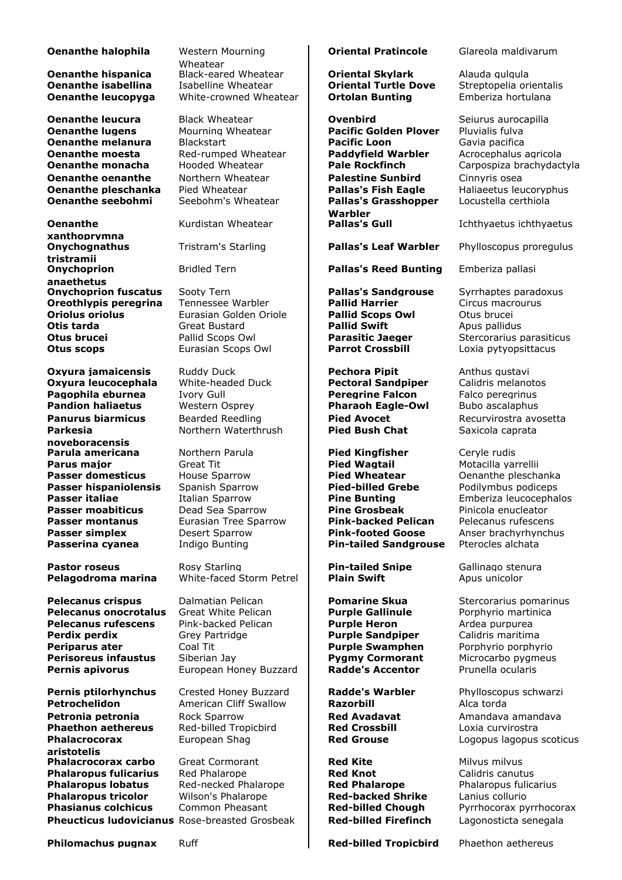## **Oenanthe halophila** Western Mourning

**Oenanthe leucura** Black Wheatear **Covenbird** Seiurus aurocapilla<br> **Oenanthe lugens** Mourning Wheatear **Pacific Golden Plover** Pluvialis fulva **Oenanthe melanura** Blackstart **Pacific Loon** Gavia pacifica<br> **Cenanthe moesta** Red-rumped Wheatear **Paddyfield Warbler** Acrocephalus agricola **Oenanthe moesta** Red-rumped Wheatear **Paddyfield Warbler Constanting Manus Acroces Pale Rockfinch Oenanthe oenanthe** Morthern Wheatear **Palestine Sunbird** Cinnyris osea<br> **Comanthe pleschanka** Pied Wheatear **Pallas's Fish Eagle** Haliaeetus leu **Oenanthe pleschanka** Pied Wheatear **Pallas's Fish Eagle** Haliaeetus leucoryphus<br> **Pallas's Grasshopper** Locustella certhiola

**Oenanthe xanthoprymna Onychognathus tristramii Onychoprion anaethetus Onychoprion fuscatus** Sooty Tern **Pallas's Sandgrouse** Syrrhaptes paradoxus **Oreothivpis per Syrrhaptes Circus Oreothivpis per Syrrhaptes Pallid Harrier** Circus macrourus **Oreothlypis peregrina** Tennessee Warbler **Pallid Harrier** Circus macrourus Circus macrourus extended Circus macrourus Circus macrourus Circus macrourus Circus macrourus Eurasian Golden Oriole **Otis tarda Great Bustard <b>Pallid Swift** Apus pallidus **Otis tarda** Apus pallidus **Change Apus Parasitic Jaeger** Stercorarius parasitic Jaeger Stercorarius parasitic Jaeger Stercorarius parasitic Jaeger Stercorarius para **Otus scops Eurasian Scops Owl Parrot Crossbill Loxia pytyopsittacus** 

**Oxyura jamaicensis** Ruddy Duck **Pechora Pipit Anthus gustavi Oxyura leucocephala** White-headed Duck **Pectoral Sandpiper** Calidris melanotos **Oxyura leucocephala Pagophila eburnea** Ivory Gull **Peregrine Falcon** Falco peregrinus<br> **Pandion haliaetus** Western Osprey **Pharaoh Eagle-Owl** Bubo ascalaphus **Panurus biarmicus** Bearded Reedling **Pied Avocet** Recurvirostra avosetta<br> **Pied Bush Chat** Saxicola caprata **Parkesia noveboracensis Parula americana** Morthern Parula **Pied Kingfisher** Ceryle rudis **Passer hispaniolensis** 

**Pelecanus crispus** Dalmatian Pelican **Pomarine Skua** Stercorarius pomarinus **Pelecanus onocrotalus** Great White Pelican **Purple Gallinule** Porphyrio martinica **Pelecanus rufescens** Pink-backed Pelican **Purple Heron** Ardea purpurea<br> **Perdix perdix Purple Sandpiper** Calidris maritim **Perdix perdix Grey Partridge Purple Sandpiper** Calidris maritima<br> **Pariparus ater** Coal Tit **Purple Swamphen** Porphyrio porphy **Perisoreus infaustus Pernis apivorus** European Honey Buzzard **Radde's Accentor** Prunella ocularis

**Pernis ptilorhynchus** Crested Honey Buzzard **Radde's Warbler** Phylloscopus schwarzi<br> **Petrochelidon** American Cliff Swallow **Razorbill Razorbill** Alca torda **Petronia petronia** Rock Sparrow **Red Avadavat** Amandava amandava Red Avadavat Amandava amandava **Phaethon aethereus** Red-billed Tropichird **Red Crossbill** Red Avadavat Red Avadavat Red Avadavat Red Avadavat Red Avadavat R **Phaethon aethereus Phalacrocorax aristotelis Phalacrocorax carbo** Great Cormorant **Red Kite Red Kite** Milvus milvus milvus **Phalaropus fulicarius** Red Phalarope **Phalaropus lobatus** Red-necked Phalarope<br>**Phalaropus tricolor** Wilson's Phalarope **Pheucticus ludovicianus** Rose-breasted Grosbeak | **Red-billed Firefinch** Lagonosticta senegala

Wheatear **Oenanthe hispanica** Black-eared Wheatear **Coriental Skylark** Alauda gulgula **Oenanthe isabellina** Isabelline Wheatear **Coriental Turtle Dove** Streptopelia orientalis<br> **Oenanthe leucopyga** White-crowned Wheatear **Ortolan Bunting** Emberiza hortulana **White-crowned Wheatear** 

**Eurasian Golden Oriole** 

Northern Waterthrush **Pied Bush Chat** Saxicola caprata

**Pastor roseus** Rosy Starling **Pin-tailed Snipe** Gallinago stenura<br> **Pelagodroma marina** White-faced Storm Petrel **Plain Swift** Apus unicolor **Pelagodroma marina** White-faced Storm Petrel **Plain Swift** Apus unicolor

**Purple Swamphen** Porphyrio porphyrio **Purple Swamphen** Porphyrio porphyrio Porphyrio Porphyrio Porphyrio Porphyrio Porphyrio Porphyrio Porphyrio Porphyrio Porphyrio Porphyrio Porphyrio Porphyrio Porphyrio Porphyrio Porphy

American Cliff Swallow **Razorbill Razorbill** Alca torda

**Phalaropus fulicarius** Red Phalarope **Red Knot Red Knot** Calidris canutus **Phalaropus Interventional Red Phalarope** Phalaropus fulicarius **Phalaropus** Fulicarius **Phalaropus tricolor** Wilson's Phalarope **Red-backed Shrike** Lanius collurio<br> **Phasianus colchicus** Common Pheasant **Red-billed Chough** Pyrrhocorax py

**Mourning Wheatear Pacific Golden Plover** Pluvialis fulva<br>Blackstart **Pacific Loon** Gavia pacifica **Pallas's Grasshopper Warbler**

Tristram's Starling **Pallas's Leaf Warbler** Phylloscopus proregulus

Bridled Tern **Pallas's Reed Bunting** Emberiza pallasi

**Pharaoh Eagle-Owl** 

**Parus major Great Tit Pied Wagtail Motacilla yarrellii**<br> **Passer domesticus** House Sparrow **Pied Wheatear** Oenanthe plescha **Passer domesticus** House Sparrow **Pied Wheatear** Denanthe pleschanka<br> **Passer hispaniolensis** Spanish Sparrow **Pied-billed Grebe** Podilymbus podiceps **Passer italiae** Italian Sparrow **Pine Bunting** Emberiza leucocephalos **Passer moabiticus** Dead Sea Sparrow **Pine Grosbeak** Pinicola enucleator **Passer montanus** Eurasian Tree Sparrow **Pink-backed Pelican** Pelecanus rufescens<br> **Passer simplex** Desert Sparrow **Pink-footed Goose** Anser brachyrhynchi **Passer simplex** Desert Sparrow **Pink-footed Goose** Anser brachyrhynchus **Passerina cyanea** Indigo Bunting **Pin-tailed Sandgrouse** Pterocles alchata

**Oriental Pratincole** Glareola maldivarum

Carpospiza brachydactyla Locustella certhiola

Kurdistan Wheatear **Pallas's Gull** Ichthyaetus ichthyaetus

**Stercorarius parasiticus** 

European Shag **Red Grouse** Logopus lagopus scoticus

Pyrrhocorax pyrrhocorax

**Philomachus pugnax** Ruff **Red-billed Tropicbird** Phaethon aethereus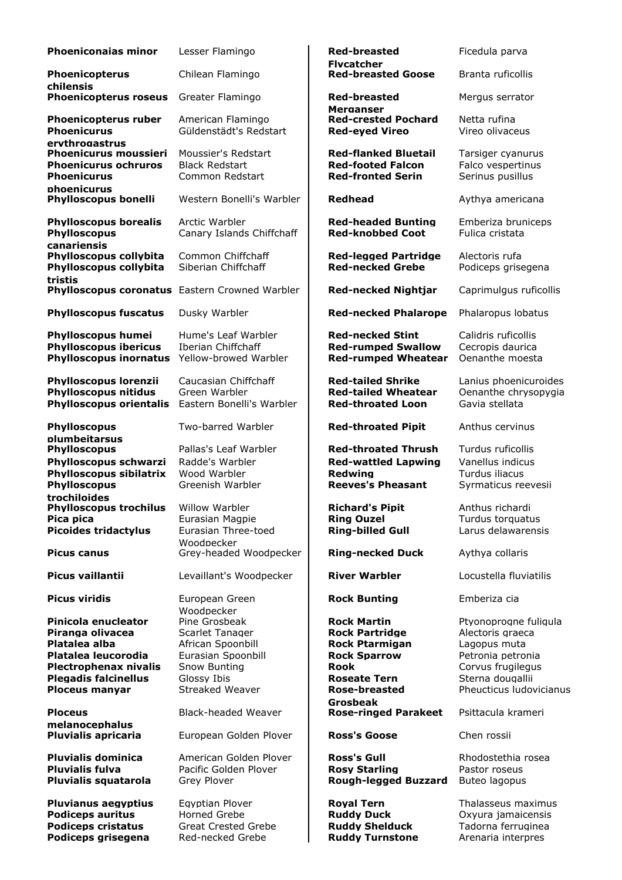| <b>Phoeniconaias minor</b>                                                                                         | Lesser Flamingo                                                           |
|--------------------------------------------------------------------------------------------------------------------|---------------------------------------------------------------------------|
| Phoenicopterus<br>chilensis                                                                                        | Chilean Flamingo                                                          |
| <b>Phoenicopterus roseus</b>                                                                                       | Greater Flamingo                                                          |
| <b>Phoenicopterus ruber</b><br><b>Phoenicurus</b>                                                                  | American Flamingo<br>Güldenstädt's Redstart                               |
| ervthrogastrus<br><b>Phoenicurus moussieri</b><br><b>Phoenicurus ochruros</b><br><b>Phoenicurus</b><br>phoenicurus | Moussier's Redstart<br><b>Black Redstart</b><br>Common Redstart           |
| Phylloscopus bonelli                                                                                               | Western Bonelli's Warbler                                                 |
| <b>Phylloscopus borealis</b><br><b>Phylloscopus</b><br>canariensis                                                 | Arctic Warbler<br>Canary Islands Chiffchaff                               |
| Phylloscopus collybita<br>Phylloscopus collybita<br>tristis                                                        | Common Chiffchaff<br>Siberian Chiffchaff                                  |
| <b>Phylloscopus coronatus</b>                                                                                      | Eastern Crowned Warbler                                                   |
| <b>Phylloscopus fuscatus</b>                                                                                       | Dusky Warbler                                                             |
| <b>Phylloscopus humei</b><br><b>Phylloscopus ibericus</b><br><b>Phylloscopus inornatus</b>                         | Hume's Leaf Warbler<br><b>Iberian Chiffchaff</b><br>Yellow-browed Warbler |
| <b>Phylloscopus lorenzii</b><br><b>Phylloscopus nitidus</b><br><b>Phylloscopus orientalis</b>                      | Caucasian Chiffchaff<br>Green Warbler<br>Eastern Bonelli's Warbler        |
| <b>Phylloscopus</b><br>plumbeitarsus                                                                               | Two-barred Warbler                                                        |
| <b>Phylloscopus</b>                                                                                                | Pallas's Leaf Warbler                                                     |
| Phylloscopus schwarzi<br>Phylloscopus sibilatrix<br><b>Phylloscopus</b>                                            | Radde's Warbler<br>Wood Warbler<br>Greenish Warbler                       |
| trochiloides<br><b>Phylloscopus trochilus</b>                                                                      | <b>Willow Warbler</b>                                                     |
| Pica pica<br><b>Picoides tridactylus</b>                                                                           | Eurasian Magpie<br>Eurasian Three-toed                                    |
| <b>Picus canus</b>                                                                                                 | Woodpecker<br>Grey-headed Woodpecker                                      |
| Picus vaillantii                                                                                                   | Levaillant's Woodpecker                                                   |
| Picus viridis                                                                                                      | European Green                                                            |
| Pinicola enucleator                                                                                                | Woodpecker<br>Pine Grosbeak                                               |
| Piranga olivacea                                                                                                   | Scarlet Tanager                                                           |
| Platalea alba                                                                                                      | African Spoonbill                                                         |
| Platalea leucorodia                                                                                                | Eurasian Spoonbill                                                        |
| <b>Plectrophenax nivalis</b>                                                                                       | Snow Bunting                                                              |
| <b>Plegadis falcinellus</b>                                                                                        | Glossy Ibis<br>Streaked Weaver                                            |
| <b>Ploceus manyar</b>                                                                                              |                                                                           |
| <b>Ploceus</b>                                                                                                     | <b>Black-headed Weaver</b>                                                |
| melanocephalus<br><b>Pluvialis apricaria</b>                                                                       | European Golden Plover                                                    |
| <b>Pluvialis dominica</b>                                                                                          | American Golden Plover                                                    |
| <b>Pluvialis fulva</b>                                                                                             | Pacific Golden Plover                                                     |
| Pluvialis squatarola                                                                                               | Grey Plover                                                               |
|                                                                                                                    |                                                                           |
| <b>Pluvianus aegyptius</b>                                                                                         | Egyptian Plover                                                           |
| <b>Podiceps auritus</b><br><b>Podiceps cristatus</b>                                                               | <b>Horned Grebe</b><br><b>Great Crested Grebe</b>                         |
|                                                                                                                    |                                                                           |

**Podiceps grisegena** Red-necked Grebe **Ruddy Turnstone** Arenaria interpres

**Flycatcher Red-breasted Goose** Branta ruficollis **Red-breasted Merganser** Mergus serrator **Red-crested Pochard** Netta rufina Red-eyed Vireo **Vireo Vireo olivaceus Red-flanked Bluetail** Tarsiger cyanurus<br>**Red-footed Falcon** Falco vespertinus **Red-footed Falcon Red-fronted Serin** Serinus pusillus **Redhead** Aythya americana **Red-headed Bunting** Emberiza bruniceps Red-knobbed Coot Fulica cristata **Red-legged Partridge** Alectoris rufa Red-necked Grebe **Podiceps grisegena Red-necked Nightjar** Caprimulgus ruficollis **Red-necked Phalarope** Phalaropus lobatus **Red-necked Stint** Calidris ruficollis **Red-rumped Swallow** Cecropis daurica **Red-rumped Wheatear** Oenanthe moesta **Red-tailed Shrike** Lanius phoenicuroides **Red-tailed Wheatear** Oenanthe chrysopygia **Red-throated Loon** Gavia stellata Red-throated Pipit Anthus cervinus **Red-throated Thrush** Turdus ruficollis **Red-wattled Lapwing** Vanellus indicus<br>**Redwing** Turdus iliacus **Redwing Turdus iliacus**<br>**Reeves's Pheasant** Syrmaticus red Syrmaticus reevesii **Phyllopscopus Exist Anthus richardi** Richardi **Ring Ouzel Turdus torquatus Ring-billed Gull** Larus delawarensis **Ring-necked Duck** Aythya collaris **River Warbler Locustella fluviatilis Rock Bunting** Emberiza cia **Rock Martin** Ptyonoprogne fuligula **Rock Partridge Alectoris graeca Platalea African Rock Ptarmigan** Lagopus muta<br> **Petronia petronal Petronia** Petronia Petronia petronia **Rook** Corvus frugilegus **Roseate Tern** Sterna dougallii **Rose-breasted Grosbeak** Pheucticus ludovicianus **Rose-ringed Parakeet** Psittacula krameri **Ross's Goose** Chen rossii **Ross's Gull** Rhodostethia rosea **Rosy Starling** Pastor roseus **Rough-legged Buzzard** Buteo lagopus **Royal Tern** Thalasseus maximus **Ruddy Duck Case Oxyura jamaicensis Ruddy Shelduck** Tadorna ferruginea

Ficedula parva

**Red-breasted**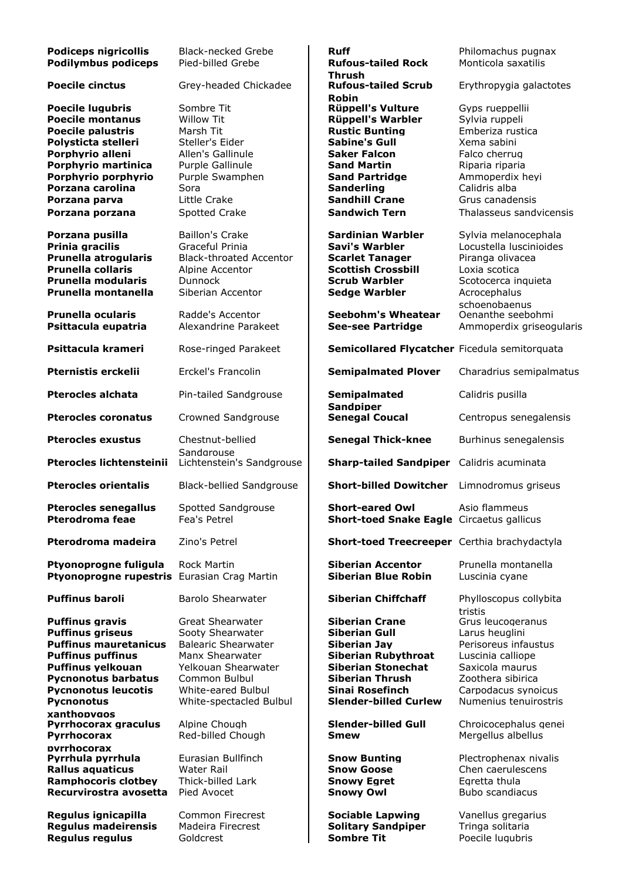| <b>Podiceps nigricollis</b><br><b>Podilymbus podiceps</b>                                                                                                                                                                          | <b>Black-necked Grebe</b><br>Pied-billed Grebe                                                                                                                                        | <b>Ruff</b><br><b>Rufous-tailed Rock</b><br><b>Thrush</b>                                                                                                                                                    | Philomachus pugnax<br>Monticola saxatilis                                                                                                                                |
|------------------------------------------------------------------------------------------------------------------------------------------------------------------------------------------------------------------------------------|---------------------------------------------------------------------------------------------------------------------------------------------------------------------------------------|--------------------------------------------------------------------------------------------------------------------------------------------------------------------------------------------------------------|--------------------------------------------------------------------------------------------------------------------------------------------------------------------------|
| <b>Poecile cinctus</b>                                                                                                                                                                                                             | Grey-headed Chickadee                                                                                                                                                                 | <b>Rufous-tailed Scrub</b><br><b>Robin</b>                                                                                                                                                                   | Erythropygia galactotes                                                                                                                                                  |
| <b>Poecile lugubris</b><br><b>Poecile montanus</b><br><b>Poecile palustris</b><br>Polysticta stelleri<br>Porphyrio alleni<br>Porphyrio martinica<br>Porphyrio porphyrio<br>Porzana carolina                                        | Sombre Tit<br><b>Willow Tit</b><br>Marsh Tit<br>Steller's Eider<br>Allen's Gallinule<br>Purple Gallinule<br>Purple Swamphen<br>Sora                                                   | <b>Rüppell's Vulture</b><br><b>Rüppell's Warbler</b><br><b>Rustic Bunting</b><br><b>Sabine's Gull</b><br><b>Saker Falcon</b><br><b>Sand Martin</b><br><b>Sand Partridge</b><br><b>Sanderling</b>             | Gvps rueppellii<br>Sylvia ruppeli<br>Emberiza rustica<br>Xema sabini<br>Falco cherrug<br>Riparia riparia<br>Ammoperdix heyi<br>Calidris alba                             |
| Porzana parva<br>Porzana porzana                                                                                                                                                                                                   | Little Crake<br>Spotted Crake                                                                                                                                                         | <b>Sandhill Crane</b><br><b>Sandwich Tern</b>                                                                                                                                                                | Grus canadensis<br>Thalasseus sandvicensis                                                                                                                               |
| Porzana pusilla<br>Prinia gracilis<br>Prunella atrogularis<br><b>Prunella collaris</b><br>Prunella modularis<br>Prunella montanella<br><b>Prunella ocularis</b>                                                                    | <b>Baillon's Crake</b><br>Graceful Prinia<br><b>Black-throated Accentor</b><br>Alpine Accentor<br><b>Dunnock</b><br>Siberian Accentor<br>Radde's Accentor                             | <b>Sardinian Warbler</b><br><b>Savi's Warbler</b><br><b>Scarlet Tanager</b><br><b>Scottish Crossbill</b><br><b>Scrub Warbler</b><br><b>Sedge Warbler</b><br><b>Seebohm's Wheatear</b>                        | Sylvia melanocephala<br>Locustella luscinioides<br>Piranga olivacea<br>Loxia scotica<br>Scotocerca inquieta<br>Acrocephalus<br>schoenobaenus<br>Oenanthe seebohmi        |
| Psittacula eupatria                                                                                                                                                                                                                | Alexandrine Parakeet                                                                                                                                                                  | <b>See-see Partridge</b>                                                                                                                                                                                     | Ammoperdix griseogularis                                                                                                                                                 |
| Psittacula krameri<br>Pternistis erckelii                                                                                                                                                                                          | Rose-ringed Parakeet<br>Erckel's Francolin                                                                                                                                            | Semicollared Flycatcher Ficedula semitorquata<br><b>Semipalmated Plover</b>                                                                                                                                  | Charadrius semipalmatus                                                                                                                                                  |
| <b>Pterocles alchata</b>                                                                                                                                                                                                           | Pin-tailed Sandgrouse                                                                                                                                                                 | Semipalmated                                                                                                                                                                                                 | Calidris pusilla                                                                                                                                                         |
| <b>Pterocles coronatus</b>                                                                                                                                                                                                         | Crowned Sandgrouse                                                                                                                                                                    | <b>Sandpiper</b><br><b>Senegal Coucal</b>                                                                                                                                                                    | Centropus senegalensis                                                                                                                                                   |
| <b>Pterocles exustus</b>                                                                                                                                                                                                           | Chestnut-bellied<br>Sandgrouse                                                                                                                                                        | <b>Senegal Thick-knee</b>                                                                                                                                                                                    | Burhinus senegalensis                                                                                                                                                    |
| Pterocles lichtensteinii                                                                                                                                                                                                           | Lichtenstein's Sandgrouse                                                                                                                                                             | <b>Sharp-tailed Sandpiper</b>                                                                                                                                                                                | Calidris acuminata                                                                                                                                                       |
| <b>Pterocles orientalis</b>                                                                                                                                                                                                        | <b>Black-bellied Sandgrouse</b>                                                                                                                                                       | <b>Short-billed Dowitcher</b>                                                                                                                                                                                | Limnodromus griseus                                                                                                                                                      |
| <b>Pterocles senegallus</b><br><b>Pterodroma feae</b>                                                                                                                                                                              | Spotted Sandgrouse<br>Fea's Petrel                                                                                                                                                    | <b>Short-eared Owl</b><br>Short-toed Snake Eagle Circaetus gallicus                                                                                                                                          | Asio flammeus                                                                                                                                                            |
| Pterodroma madeira                                                                                                                                                                                                                 | Zino's Petrel                                                                                                                                                                         | Short-toed Treecreeper Certhia brachydactyla                                                                                                                                                                 |                                                                                                                                                                          |
| Ptyonoprogne fuligula<br>Ptyonoprogne rupestris Eurasian Crag Martin                                                                                                                                                               | <b>Rock Martin</b>                                                                                                                                                                    | <b>Siberian Accentor</b><br><b>Siberian Blue Robin</b>                                                                                                                                                       | Prunella montanella<br>Luscinia cyane                                                                                                                                    |
| <b>Puffinus baroli</b>                                                                                                                                                                                                             | Barolo Shearwater                                                                                                                                                                     | <b>Siberian Chiffchaff</b>                                                                                                                                                                                   | Phylloscopus collybita<br>tristis                                                                                                                                        |
| Puffinus gravis<br><b>Puffinus griseus</b><br><b>Puffinus mauretanicus</b><br><b>Puffinus puffinus</b><br><b>Puffinus yelkouan</b><br><b>Pycnonotus barbatus</b><br><b>Pycnonotus leucotis</b><br><b>Pycnonotus</b><br>xanthopvgos | <b>Great Shearwater</b><br>Sooty Shearwater<br><b>Balearic Shearwater</b><br>Manx Shearwater<br>Yelkouan Shearwater<br>Common Bulbul<br>White-eared Bulbul<br>White-spectacled Bulbul | <b>Siberian Crane</b><br><b>Siberian Gull</b><br><b>Siberian Jav</b><br><b>Siberian Rubythroat</b><br><b>Siberian Stonechat</b><br><b>Siberian Thrush</b><br>Sinai Rosefinch<br><b>Slender-billed Curlew</b> | Grus leucogeranus<br>Larus heuglini<br>Perisoreus infaustus<br>Luscinia calliope<br>Saxicola maurus<br>Zoothera sibirica<br>Carpodacus synoicus<br>Numenius tenuirostris |
| Pyrrhocorax graculus<br>Pyrrhocorax<br>pvrrhocorax                                                                                                                                                                                 | Alpine Chough<br>Red-billed Chough                                                                                                                                                    | <b>Slender-billed Gull</b><br><b>Smew</b>                                                                                                                                                                    | Chroicocephalus genei<br>Mergellus albellus                                                                                                                              |
| Pyrrhula pyrrhula<br>Rallus aquaticus<br><b>Ramphocoris clotbey</b><br>Recurvirostra avosetta                                                                                                                                      | Eurasian Bullfinch<br>Water Rail<br>Thick-billed Lark<br>Pied Avocet                                                                                                                  | <b>Snow Bunting</b><br><b>Snow Goose</b><br><b>Snowy Egret</b><br><b>Snowy Owl</b>                                                                                                                           | Plectrophenax nivalis<br>Chen caerulescens<br>Egretta thula<br>Bubo scandiacus                                                                                           |
| Regulus ignicapilla<br>Regulus madeirensis<br>Regulus regulus                                                                                                                                                                      | Common Firecrest<br>Madeira Firecrest<br>Goldcrest                                                                                                                                    | <b>Sociable Lapwing</b><br><b>Solitary Sandpiper</b><br><b>Sombre Tit</b>                                                                                                                                    | Vanellus gregarius<br>Tringa solitaria<br>Poecile lugubris                                                                                                               |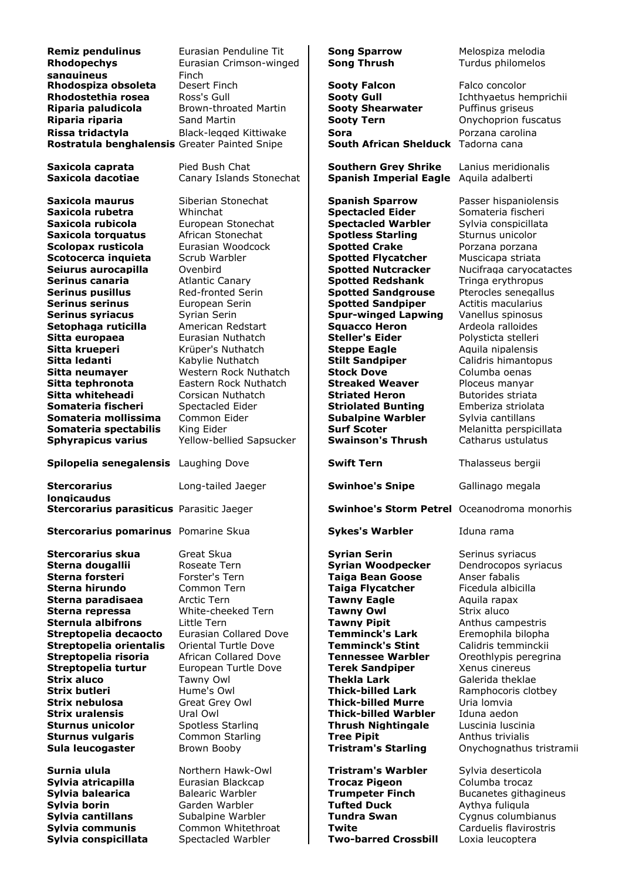| <b>Remiz pendulinus</b><br><b>Rhodopechys</b>                   | Eurasian Penduline Tit<br>Eurasian Crimson-winged | <b>Song Sparrow</b><br><b>Song Thrush</b>                    | Melospiza melodia<br>Turdus philomelos     |
|-----------------------------------------------------------------|---------------------------------------------------|--------------------------------------------------------------|--------------------------------------------|
| sanguineus                                                      | Finch                                             |                                                              |                                            |
| Rhodospiza obsoleta                                             | Desert Finch                                      | <b>Sooty Falcon</b>                                          | Falco concolor                             |
| Rhodostethia rosea                                              | Ross's Gull                                       | <b>Sooty Gull</b>                                            | Ichthyaetus hemprichii                     |
| Riparia paludicola                                              | Brown-throated Martin                             | <b>Sooty Shearwater</b>                                      | Puffinus griseus                           |
| Riparia riparia                                                 | Sand Martin                                       | <b>Sooty Tern</b>                                            | Onychoprion fuscatus                       |
| Rissa tridactyla                                                | <b>Black-legged Kittiwake</b>                     | <b>Sora</b>                                                  | Porzana carolina                           |
| Rostratula benghalensis Greater Painted Snipe                   |                                                   | South African Shelduck Tadorna cana                          |                                            |
| Saxicola caprata<br>Saxicola dacotiae                           | Pied Bush Chat<br>Canary Islands Stonechat        | <b>Southern Grey Shrike</b><br><b>Spanish Imperial Eagle</b> | Lanius meridionalis<br>Aquila adalberti    |
| Saxicola maurus                                                 | Siberian Stonechat                                | <b>Spanish Sparrow</b>                                       | Passer hispaniolensis                      |
| Saxicola rubetra                                                | Whinchat                                          | <b>Spectacled Eider</b>                                      | Somateria fischeri                         |
| Saxicola rubicola                                               | European Stonechat                                | <b>Spectacled Warbler</b>                                    | Sylvia conspicillata                       |
| Saxicola torquatus                                              | African Stonechat                                 | <b>Spotless Starling</b>                                     | Sturnus unicolor                           |
| Scolopax rusticola                                              | Eurasian Woodcock                                 | <b>Spotted Crake</b>                                         | Porzana porzana                            |
| Scotocerca inquieta                                             | Scrub Warbler                                     | <b>Spotted Flycatcher</b>                                    | Muscicapa striata                          |
| Seiurus aurocapilla                                             | Ovenbird                                          | <b>Spotted Nutcracker</b>                                    | Nucifraga caryocatactes                    |
| Serinus canaria                                                 | <b>Atlantic Canary</b>                            | <b>Spotted Redshank</b>                                      | Tringa erythropus                          |
| <b>Serinus pusillus</b>                                         | Red-fronted Serin                                 | <b>Spotted Sandgrouse</b>                                    | Pterocles senegallus                       |
| <b>Serinus serinus</b>                                          | European Serin                                    | <b>Spotted Sandpiper</b>                                     | Actitis macularius                         |
| <b>Serinus syriacus</b>                                         | Syrian Serin                                      | <b>Spur-winged Lapwing</b>                                   | Vanellus spinosus                          |
| Setophaga ruticilla                                             | American Redstart                                 | <b>Squacco Heron</b>                                         | Ardeola ralloides                          |
| Sitta europaea                                                  | Eurasian Nuthatch                                 | <b>Steller's Eider</b>                                       | Polysticta stelleri                        |
| Sitta krueperi                                                  | Krüper's Nuthatch                                 | <b>Steppe Eagle</b>                                          | Aquila nipalensis                          |
| Sitta ledanti                                                   | Kabylie Nuthatch                                  | <b>Stilt Sandpiper</b>                                       | Calidris himantopus                        |
| Sitta neumaver                                                  | Western Rock Nuthatch                             | <b>Stock Dove</b>                                            | Columba oenas                              |
| Sitta tephronota                                                | Eastern Rock Nuthatch                             | <b>Streaked Weaver</b>                                       | Ploceus manyar                             |
| Sitta whiteheadi                                                | Corsican Nuthatch                                 | <b>Striated Heron</b>                                        | Butorides striata                          |
| Somateria fischeri                                              | Spectacled Eider                                  | <b>Striolated Bunting</b>                                    | Emberiza striolata                         |
| Somateria mollissima                                            | Common Eider                                      | <b>Subalpine Warbler</b>                                     | Sylvia cantillans                          |
| Somateria spectabilis                                           | King Eider                                        | <b>Surf Scoter</b>                                           | Melanitta perspicillata                    |
| <b>Sphyrapicus varius</b>                                       | Yellow-bellied Sapsucker                          | <b>Swainson's Thrush</b>                                     | Catharus ustulatus                         |
|                                                                 |                                                   |                                                              |                                            |
| Spilopelia senegalensis                                         | Laughing Dove                                     | <b>Swift Tern</b>                                            | Thalasseus bergii                          |
| <b>Stercorarius</b>                                             | Long-tailed Jaeger                                | <b>Swinhoe's Snipe</b>                                       | Gallinago megala                           |
| <b>longicaudus</b><br>Stercorarius parasiticus Parasitic Jaeger |                                                   | <b>Swinhoe's Storm Petrel</b> Oceanodroma monorhis           |                                            |
| <b>Stercorarius pomarinus</b> Pomarine Skua                     |                                                   | <b>Sykes's Warbler</b>                                       | Iduna rama                                 |
| Stercorarius skua                                               | Great Skua                                        | <b>Syrian Serin</b>                                          | Serinus syriacus                           |
| Sterna dougallii                                                | Roseate Tern                                      | <b>Syrian Woodpecker</b>                                     | Dendrocopos syriacus                       |
| Sterna forsteri                                                 | Forster's Tern                                    | Taiga Bean Goose                                             | Anser fabalis                              |
| Sterna hirundo                                                  | Common Tern                                       | <b>Taiga Flycatcher</b>                                      | Ficedula albicilla                         |
| Sterna paradisaea                                               | Arctic Tern                                       | <b>Tawny Eagle</b>                                           | Aguila rapax                               |
| Sterna repressa                                                 | White-cheeked Tern                                | <b>Tawny Owl</b>                                             | Strix aluco                                |
| <b>Sternula albifrons</b>                                       | Little Tern                                       | <b>Tawny Pipit</b>                                           | Anthus campestris                          |
| Streptopelia decaocto                                           | Eurasian Collared Dove                            | <b>Temminck's Lark</b>                                       | Eremophila bilopha                         |
| Streptopelia orientalis                                         | Oriental Turtle Dove                              | <b>Temminck's Stint</b>                                      | Calidris temminckii                        |
| Streptopelia risoria                                            | <b>African Collared Dove</b>                      | <b>Tennessee Warbler</b>                                     | Oreothlypis peregrina                      |
| Streptopelia turtur                                             | European Turtle Dove                              | <b>Terek Sandpiper</b>                                       | Xenus cinereus                             |
| <b>Strix aluco</b>                                              | Tawny Owl                                         | Thekla Lark                                                  | Galerida theklae                           |
| <b>Strix butleri</b>                                            | Hume's Owl                                        | <b>Thick-billed Lark</b>                                     | Ramphocoris clotbey                        |
| Strix nebulosa                                                  | Great Grey Owl                                    | Thick-billed Murre                                           | Uria lomvia                                |
| <b>Strix uralensis</b>                                          | Ural Owl                                          | Thick-billed Warbler                                         | Iduna aedon                                |
| <b>Sturnus unicolor</b>                                         | Spotless Starling                                 | <b>Thrush Nightingale</b>                                    | Luscinia Iuscinia                          |
| <b>Sturnus vulgaris</b>                                         | Common Starling                                   | <b>Tree Pipit</b>                                            | Anthus trivialis                           |
| Sula leucogaster                                                | Brown Booby                                       | <b>Tristram's Starling</b>                                   | Onychognathus tristramii                   |
| Surnia ulula                                                    | Northern Hawk-Owl                                 | <b>Tristram's Warbler</b>                                    | Sylvia deserticola                         |
| Sylvia atricapilla                                              | Eurasian Blackcap                                 | <b>Trocaz Pigeon</b>                                         | Columba trocaz                             |
| Sylvia balearica                                                | <b>Balearic Warbler</b>                           | <b>Trumpeter Finch</b>                                       | Bucanetes githagineus                      |
| Sylvia borin                                                    | Garden Warbler                                    | <b>Tufted Duck</b>                                           | Avthya fuliqula                            |
| Sylvia cantillans                                               | Subalpine Warbler                                 | <b>Tundra Swan</b>                                           | Cygnus columbianus                         |
| Sylvia communis<br>Sylvia conspicillata                         | Common Whitethroat<br>Spectacled Warbler          | Twite<br><b>Two-barred Crossbill</b>                         | Carduelis flavirostris<br>Loxia leucoptera |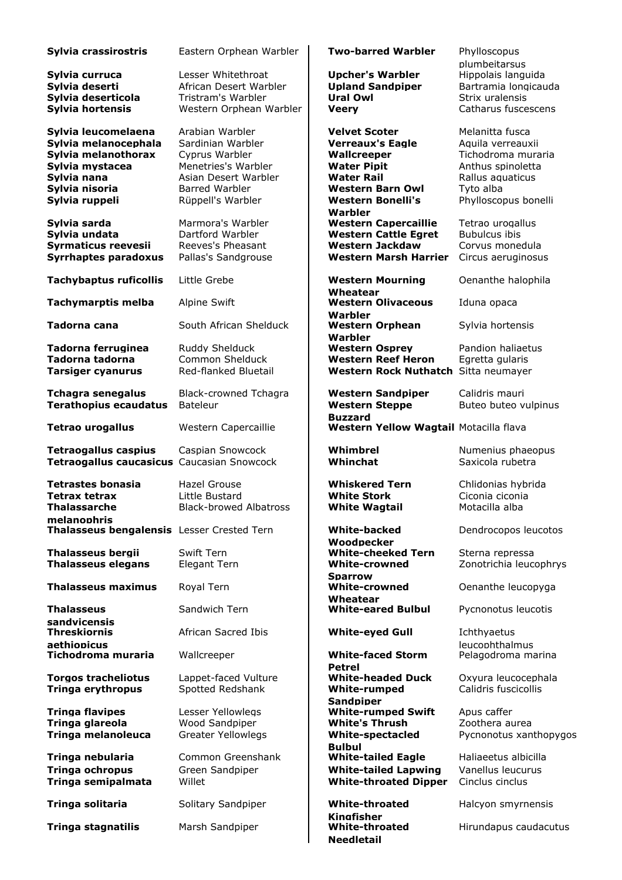| Sylvia crassirostris                                                                                                                     | Eastern Orphean Warbler                                                                                                                             | <b>Two-barred Warbler</b>                                                                                                                                        | Phylloscopus<br>plumbeitarsus                                                                                                            |
|------------------------------------------------------------------------------------------------------------------------------------------|-----------------------------------------------------------------------------------------------------------------------------------------------------|------------------------------------------------------------------------------------------------------------------------------------------------------------------|------------------------------------------------------------------------------------------------------------------------------------------|
| Sylvia curruca<br>Sylvia deserti<br>Sylvia deserticola<br>Sylvia hortensis                                                               | Lesser Whitethroat<br>African Desert Warbler<br>Tristram's Warbler<br>Western Orphean Warbler                                                       | <b>Upcher's Warbler</b><br><b>Upland Sandpiper</b><br><b>Ural Owl</b><br><b>Veery</b>                                                                            | Hippolais languida<br>Bartramia longicauda<br>Strix uralensis<br>Catharus fuscescens                                                     |
| Sylvia leucomelaena<br>Sylvia melanocephala<br>Sylvia melanothorax<br>Sylvia mystacea<br>Sylvia nana<br>Sylvia nisoria<br>Sylvia ruppeli | Arabian Warbler<br>Sardinian Warbler<br>Cyprus Warbler<br>Menetries's Warbler<br>Asian Desert Warbler<br><b>Barred Warbler</b><br>Rüppell's Warbler | <b>Velvet Scoter</b><br><b>Verreaux's Eagle</b><br>Wallcreeper<br><b>Water Pipit</b><br><b>Water Rail</b><br><b>Western Barn Owl</b><br><b>Western Bonelli's</b> | Melanitta fusca<br>Aquila verreauxii<br>Tichodroma muraria<br>Anthus spinoletta<br>Rallus aquaticus<br>Tyto alba<br>Phylloscopus bonelli |
| Sylvia sarda<br>Sylvia undata<br>Syrmaticus reevesii<br><b>Syrrhaptes paradoxus</b>                                                      | Marmora's Warbler<br>Dartford Warbler<br>Reeves's Pheasant<br>Pallas's Sandgrouse                                                                   | Warbler<br><b>Western Capercaillie</b><br><b>Western Cattle Egret</b><br><b>Western Jackdaw</b><br><b>Western Marsh Harrier</b>                                  | Tetrao urogallus<br><b>Bubulcus ibis</b><br>Corvus monedula<br>Circus aeruginosus                                                        |
| <b>Tachybaptus ruficollis</b>                                                                                                            | Little Grebe                                                                                                                                        | <b>Western Mourning</b>                                                                                                                                          | Oenanthe halophila                                                                                                                       |
| <b>Tachymarptis melba</b>                                                                                                                | Alpine Swift                                                                                                                                        | Wheatear<br><b>Western Olivaceous</b>                                                                                                                            | Iduna opaca                                                                                                                              |
| Tadorna cana                                                                                                                             | South African Shelduck                                                                                                                              | Warbler<br><b>Western Orphean</b><br>Warbler                                                                                                                     | Sylvia hortensis                                                                                                                         |
| Tadorna ferruginea<br>Tadorna tadorna<br>Tarsiger cyanurus                                                                               | Ruddy Shelduck<br>Common Shelduck<br>Red-flanked Bluetail                                                                                           | <b>Western Osprey</b><br><b>Western Reef Heron</b><br>Western Rock Nuthatch Sitta neumayer                                                                       | Pandion haliaetus<br>Egretta gularis                                                                                                     |
| <b>Tchagra senegalus</b><br><b>Terathopius ecaudatus</b>                                                                                 | Black-crowned Tchagra<br>Bateleur                                                                                                                   | <b>Western Sandpiper</b><br><b>Western Steppe</b>                                                                                                                | Calidris mauri<br>Buteo buteo vulpinus                                                                                                   |
| <b>Tetrao urogallus</b>                                                                                                                  | Western Capercaillie                                                                                                                                | <b>Buzzard</b><br>Western Yellow Wagtail Motacilla flava                                                                                                         |                                                                                                                                          |
| <b>Tetraogallus caspius</b><br>Tetraogallus caucasicus Caucasian Snowcock                                                                | Caspian Snowcock                                                                                                                                    | Whimbrel<br>Whinchat                                                                                                                                             | Numenius phaeopus<br>Saxicola rubetra                                                                                                    |
| <b>Tetrastes bonasia</b><br><b>Tetrax tetrax</b><br>Thalassarche<br>melanophris<br>Thalasseus bengalensis Lesser Crested Tern            | Hazel Grouse<br>Little Bustard<br><b>Black-browed Albatross</b>                                                                                     | <b>Whiskered Tern</b><br><b>White Stork</b><br><b>White Wagtail</b><br><b>White-backed</b>                                                                       | Chlidonias hybrida<br>Ciconia ciconia<br>Motacilla alba<br>Dendrocopos leucotos                                                          |
| <b>Thalasseus bergii</b><br><b>Thalasseus elegans</b>                                                                                    | Swift Tern<br>Elegant Tern                                                                                                                          | Woodpecker<br><b>White-cheeked Tern</b><br><b>White-crowned</b>                                                                                                  | Sterna repressa<br>Zonotrichia leucophrys                                                                                                |
| <b>Thalasseus maximus</b>                                                                                                                | Royal Tern                                                                                                                                          | <b>Sparrow</b><br><b>White-crowned</b>                                                                                                                           | Oenanthe leucopyga                                                                                                                       |
| <b>Thalasseus</b><br>sandvicensis                                                                                                        | Sandwich Tern                                                                                                                                       | Wheatear<br><b>White-eared Bulbul</b>                                                                                                                            | Pycnonotus leucotis                                                                                                                      |
| <b>Threskiornis</b>                                                                                                                      | African Sacred Ibis                                                                                                                                 | <b>White-eyed Gull</b>                                                                                                                                           | Ichthyaetus                                                                                                                              |
| aethiopicus<br>Tichodroma muraria                                                                                                        | Wallcreeper                                                                                                                                         | <b>White-faced Storm</b>                                                                                                                                         | leucophthalmus<br>Pelagodroma marina                                                                                                     |
| <b>Torgos tracheliotus</b><br>Tringa erythropus                                                                                          | Lappet-faced Vulture<br>Spotted Redshank                                                                                                            | <b>Petrel</b><br><b>White-headed Duck</b><br><b>White-rumped</b>                                                                                                 | Oxyura leucocephala<br>Calidris fuscicollis                                                                                              |
| <b>Tringa flavipes</b><br>Tringa glareola<br>Tringa melanoleuca                                                                          | Lesser Yellowlegs<br>Wood Sandpiper<br><b>Greater Yellowlegs</b>                                                                                    | <b>Sandpiper</b><br><b>White-rumped Swift</b><br><b>White's Thrush</b><br><b>White-spectacled</b><br><b>Bulbul</b>                                               | Apus caffer<br>Zoothera aurea<br>Pycnonotus xanthopygos                                                                                  |
| Tringa nebularia<br><b>Tringa ochropus</b><br>Tringa semipalmata                                                                         | Common Greenshank<br>Green Sandpiper<br>Willet                                                                                                      | <b>White-tailed Eagle</b><br><b>White-tailed Lapwing</b><br><b>White-throated Dipper</b>                                                                         | Haliaeetus albicilla<br>Vanellus leucurus<br>Cinclus cinclus                                                                             |
| Tringa solitaria                                                                                                                         | Solitary Sandpiper                                                                                                                                  | <b>White-throated</b><br>Kinafisher                                                                                                                              | Halcyon smyrnensis                                                                                                                       |
| Tringa stagnatilis                                                                                                                       | Marsh Sandpiper                                                                                                                                     | <b>White-throated</b><br><b>Needletail</b>                                                                                                                       | Hirundapus caudacutus                                                                                                                    |